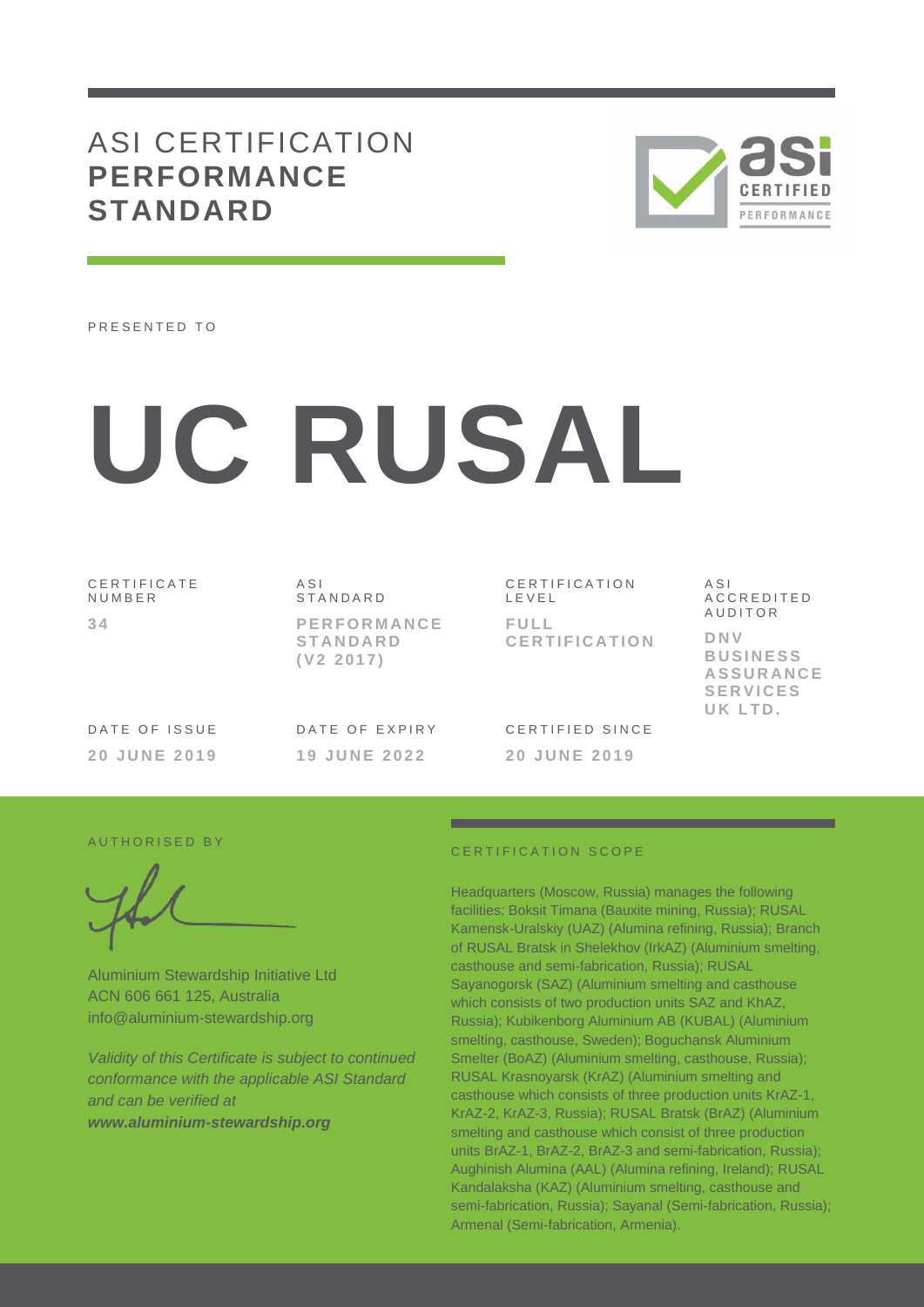# ASI CERTIFICATION **PERFORMANCE STANDARD**



PRESENTED TO

# **UC RUSAL**

C E R T I F I C A T E **NUMBER 3 4**

A S I **STANDARD P E R F O R M A N C E S T A N D A R D ( V 2 2 0 1 7 )**

C E R T I F I C A T I O N L E V E L **F U L L C E R T I F I C A T I O N** A S I A C C R E D I T E D A U D I T O R **D N V B U S I N E S S A S S U R A N C E S E R V I C E S UK LTD .**

DATE OF ISSUE **2 0 J U N E 201 9** DATE OF EXPIRY **1 9 J U N E 2022**

CERTIFIED SINCE **2 0 J U N E 2 0 1 9**

#### AUTHORISED BY

Aluminium Stewardship Initiative Ltd ACN 606 661 125, Australia info@aluminium-stewardship.org

*Validity of this Certificate is subject to continued conformance with the applicable ASI Standard and can be verified at www.aluminium-stewardship.org*

#### CERTIFICATION SCOPE

Headquarters (Moscow, Russia) manages the following facilities: Boksit Timana (Bauxite mining, Russia); RUSAL Kamensk-Uralskiy (UAZ) (Alumina refining, Russia); Branch of RUSAL Bratsk in Shelekhov (IrkAZ) (Aluminium smelting, casthouse and semi-fabrication, Russia); RUSAL Sayanogorsk (SAZ) (Aluminium smelting and casthouse which consists of two production units SAZ and KhAZ. Russia); Kubikenborg Aluminium AB (KUBAL) (Aluminium smelting, casthouse, Sweden); Boguchansk Aluminium Smelter (BoAZ) (Aluminium smelting, casthouse, Russia); RUSAL Krasnoyarsk (KrAZ) (Aluminium smelting and casthouse which consists of three production units KrAZ-1, KrAZ-2, KrAZ-3, Russia); RUSAL Bratsk (BrAZ) (Aluminium smelting and casthouse which consist of three production units BrAZ-1, BrAZ-2, BrAZ-3 and semi-fabrication, Russia); Aughinish Alumina (AAL) (Alumina refining, Ireland); RUSAL Kandalaksha (KAZ) (Aluminium smelting, casthouse and semi-fabrication, Russia); Sayanal (Semi-fabrication, Russia); Armenal (Semi-fabrication, Armenia).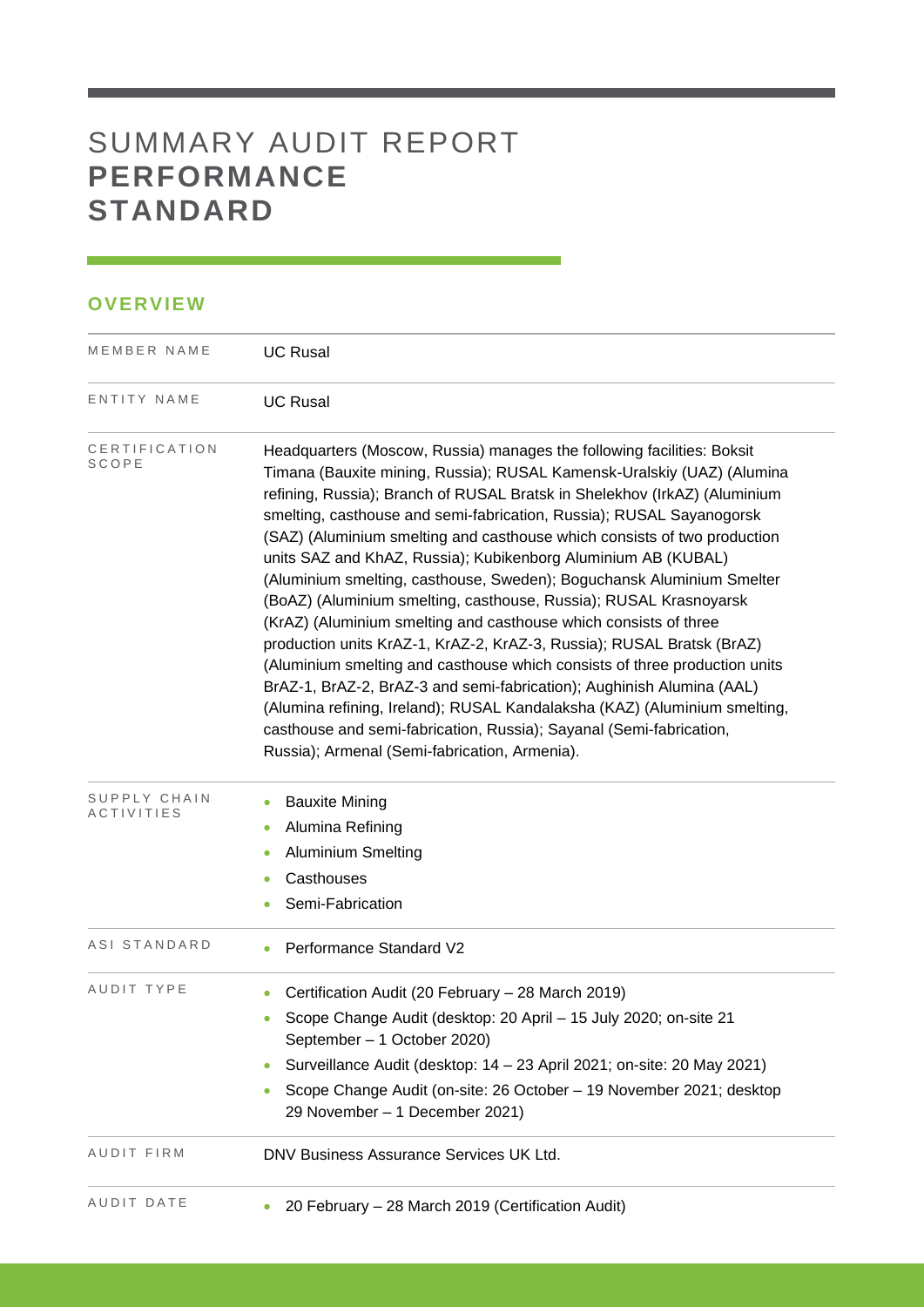# SUMMARY AUDIT REPORT **PERFORMANCE STANDARD**

# **OVERVIEW**

| MEMBER NAME                | <b>UC Rusal</b>                                                                                                                                                                                                                                                                                                                                                                                                                                                                                                                                                                                                                                                                                                                                                                                                                                                                                                                                                                                                                                                                                           |  |  |  |  |
|----------------------------|-----------------------------------------------------------------------------------------------------------------------------------------------------------------------------------------------------------------------------------------------------------------------------------------------------------------------------------------------------------------------------------------------------------------------------------------------------------------------------------------------------------------------------------------------------------------------------------------------------------------------------------------------------------------------------------------------------------------------------------------------------------------------------------------------------------------------------------------------------------------------------------------------------------------------------------------------------------------------------------------------------------------------------------------------------------------------------------------------------------|--|--|--|--|
| ENTITY NAME                | <b>UC Rusal</b>                                                                                                                                                                                                                                                                                                                                                                                                                                                                                                                                                                                                                                                                                                                                                                                                                                                                                                                                                                                                                                                                                           |  |  |  |  |
| CERTIFICATION<br>SCOPE     | Headquarters (Moscow, Russia) manages the following facilities: Boksit<br>Timana (Bauxite mining, Russia); RUSAL Kamensk-Uralskiy (UAZ) (Alumina<br>refining, Russia); Branch of RUSAL Bratsk in Shelekhov (IrkAZ) (Aluminium<br>smelting, casthouse and semi-fabrication, Russia); RUSAL Sayanogorsk<br>(SAZ) (Aluminium smelting and casthouse which consists of two production<br>units SAZ and KhAZ, Russia); Kubikenborg Aluminium AB (KUBAL)<br>(Aluminium smelting, casthouse, Sweden); Boguchansk Aluminium Smelter<br>(BoAZ) (Aluminium smelting, casthouse, Russia); RUSAL Krasnoyarsk<br>(KrAZ) (Aluminium smelting and casthouse which consists of three<br>production units KrAZ-1, KrAZ-2, KrAZ-3, Russia); RUSAL Bratsk (BrAZ)<br>(Aluminium smelting and casthouse which consists of three production units<br>BrAZ-1, BrAZ-2, BrAZ-3 and semi-fabrication); Aughinish Alumina (AAL)<br>(Alumina refining, Ireland); RUSAL Kandalaksha (KAZ) (Aluminium smelting,<br>casthouse and semi-fabrication, Russia); Sayanal (Semi-fabrication,<br>Russia); Armenal (Semi-fabrication, Armenia). |  |  |  |  |
| SUPPLY CHAIN<br>ACTIVITIES | <b>Bauxite Mining</b><br>٠<br>Alumina Refining<br><b>Aluminium Smelting</b><br>Casthouses<br>Semi-Fabrication                                                                                                                                                                                                                                                                                                                                                                                                                                                                                                                                                                                                                                                                                                                                                                                                                                                                                                                                                                                             |  |  |  |  |
| ASI STANDARD               | Performance Standard V2                                                                                                                                                                                                                                                                                                                                                                                                                                                                                                                                                                                                                                                                                                                                                                                                                                                                                                                                                                                                                                                                                   |  |  |  |  |
| AUDIT TYPE                 | Certification Audit (20 February - 28 March 2019)<br>Scope Change Audit (desktop: 20 April - 15 July 2020; on-site 21<br>$\bullet$<br>September - 1 October 2020)<br>Surveillance Audit (desktop: 14 - 23 April 2021; on-site: 20 May 2021)<br>Scope Change Audit (on-site: 26 October - 19 November 2021; desktop<br>29 November - 1 December 2021)                                                                                                                                                                                                                                                                                                                                                                                                                                                                                                                                                                                                                                                                                                                                                      |  |  |  |  |
| AUDIT FIRM                 | DNV Business Assurance Services UK Ltd.                                                                                                                                                                                                                                                                                                                                                                                                                                                                                                                                                                                                                                                                                                                                                                                                                                                                                                                                                                                                                                                                   |  |  |  |  |
| AUDIT DATE                 | 20 February - 28 March 2019 (Certification Audit)                                                                                                                                                                                                                                                                                                                                                                                                                                                                                                                                                                                                                                                                                                                                                                                                                                                                                                                                                                                                                                                         |  |  |  |  |

and the control of the control of the control of the control of the control of the control of the control of the control of the control of the control of the control of the control of the control of the control of the cont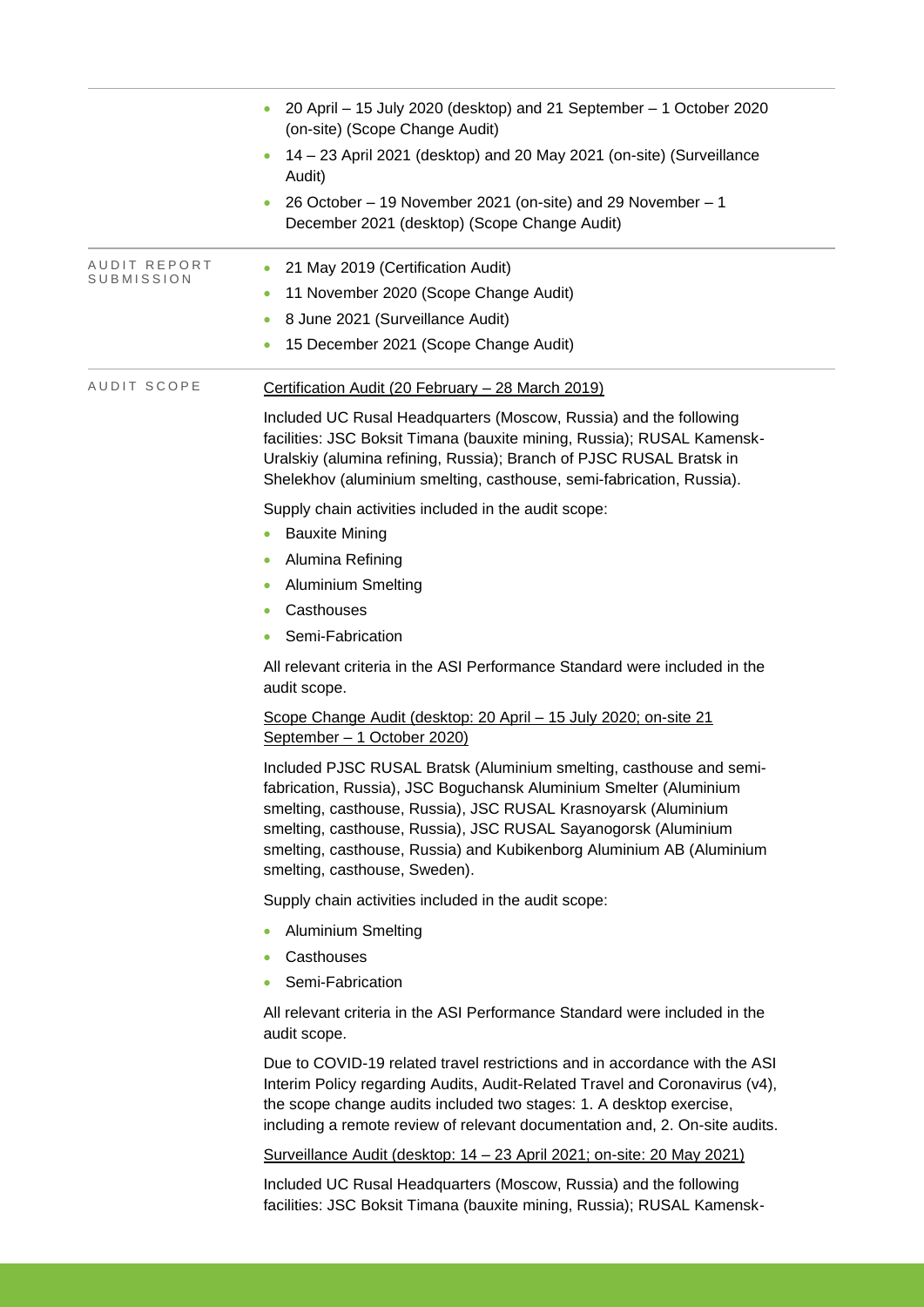|                                         | 20 April - 15 July 2020 (desktop) and 21 September - 1 October 2020<br>(on-site) (Scope Change Audit)                                                                                                                                                                                                                                                                                 |
|-----------------------------------------|---------------------------------------------------------------------------------------------------------------------------------------------------------------------------------------------------------------------------------------------------------------------------------------------------------------------------------------------------------------------------------------|
|                                         | 14 - 23 April 2021 (desktop) and 20 May 2021 (on-site) (Surveillance<br>Audit)                                                                                                                                                                                                                                                                                                        |
|                                         | 26 October - 19 November 2021 (on-site) and 29 November - 1<br>December 2021 (desktop) (Scope Change Audit)                                                                                                                                                                                                                                                                           |
| AUDIT REPORT<br>$\bullet$<br>SUBMISSION | 21 May 2019 (Certification Audit)                                                                                                                                                                                                                                                                                                                                                     |
| $\bullet$                               | 11 November 2020 (Scope Change Audit)                                                                                                                                                                                                                                                                                                                                                 |
| $\bullet$                               | 8 June 2021 (Surveillance Audit)                                                                                                                                                                                                                                                                                                                                                      |
|                                         | 15 December 2021 (Scope Change Audit)                                                                                                                                                                                                                                                                                                                                                 |
| AUDIT SCOPE                             | Certification Audit (20 February - 28 March 2019)                                                                                                                                                                                                                                                                                                                                     |
|                                         | Included UC Rusal Headquarters (Moscow, Russia) and the following<br>facilities: JSC Boksit Timana (bauxite mining, Russia); RUSAL Kamensk-<br>Uralskiy (alumina refining, Russia); Branch of PJSC RUSAL Bratsk in<br>Shelekhov (aluminium smelting, casthouse, semi-fabrication, Russia).                                                                                            |
|                                         | Supply chain activities included in the audit scope:                                                                                                                                                                                                                                                                                                                                  |
|                                         | <b>Bauxite Mining</b>                                                                                                                                                                                                                                                                                                                                                                 |
|                                         | Alumina Refining                                                                                                                                                                                                                                                                                                                                                                      |
|                                         | <b>Aluminium Smelting</b>                                                                                                                                                                                                                                                                                                                                                             |
| ۰                                       | Casthouses                                                                                                                                                                                                                                                                                                                                                                            |
|                                         | Semi-Fabrication                                                                                                                                                                                                                                                                                                                                                                      |
|                                         | All relevant criteria in the ASI Performance Standard were included in the<br>audit scope.                                                                                                                                                                                                                                                                                            |
|                                         | Scope Change Audit (desktop: 20 April - 15 July 2020; on-site 21<br>September - 1 October 2020)                                                                                                                                                                                                                                                                                       |
|                                         | Included PJSC RUSAL Bratsk (Aluminium smelting, casthouse and semi-<br>fabrication, Russia), JSC Boguchansk Aluminium Smelter (Aluminium<br>smelting, casthouse, Russia), JSC RUSAL Krasnoyarsk (Aluminium<br>smelting, casthouse, Russia), JSC RUSAL Sayanogorsk (Aluminium<br>smelting, casthouse, Russia) and Kubikenborg Aluminium AB (Aluminium<br>smelting, casthouse, Sweden). |
|                                         | Supply chain activities included in the audit scope:                                                                                                                                                                                                                                                                                                                                  |
|                                         | <b>Aluminium Smelting</b>                                                                                                                                                                                                                                                                                                                                                             |
|                                         | Casthouses                                                                                                                                                                                                                                                                                                                                                                            |
|                                         | Semi-Fabrication                                                                                                                                                                                                                                                                                                                                                                      |
|                                         | All relevant criteria in the ASI Performance Standard were included in the<br>audit scope.                                                                                                                                                                                                                                                                                            |
|                                         | Due to COVID-19 related travel restrictions and in accordance with the ASI<br>Interim Policy regarding Audits, Audit-Related Travel and Coronavirus (v4),<br>the scope change audits included two stages: 1. A desktop exercise,<br>including a remote review of relevant documentation and, 2. On-site audits.                                                                       |
|                                         | Surveillance Audit (desktop: 14 - 23 April 2021; on-site: 20 May 2021)                                                                                                                                                                                                                                                                                                                |

Included UC Rusal Headquarters (Moscow, Russia) and the following facilities: JSC Boksit Timana (bauxite mining, Russia); RUSAL Kamensk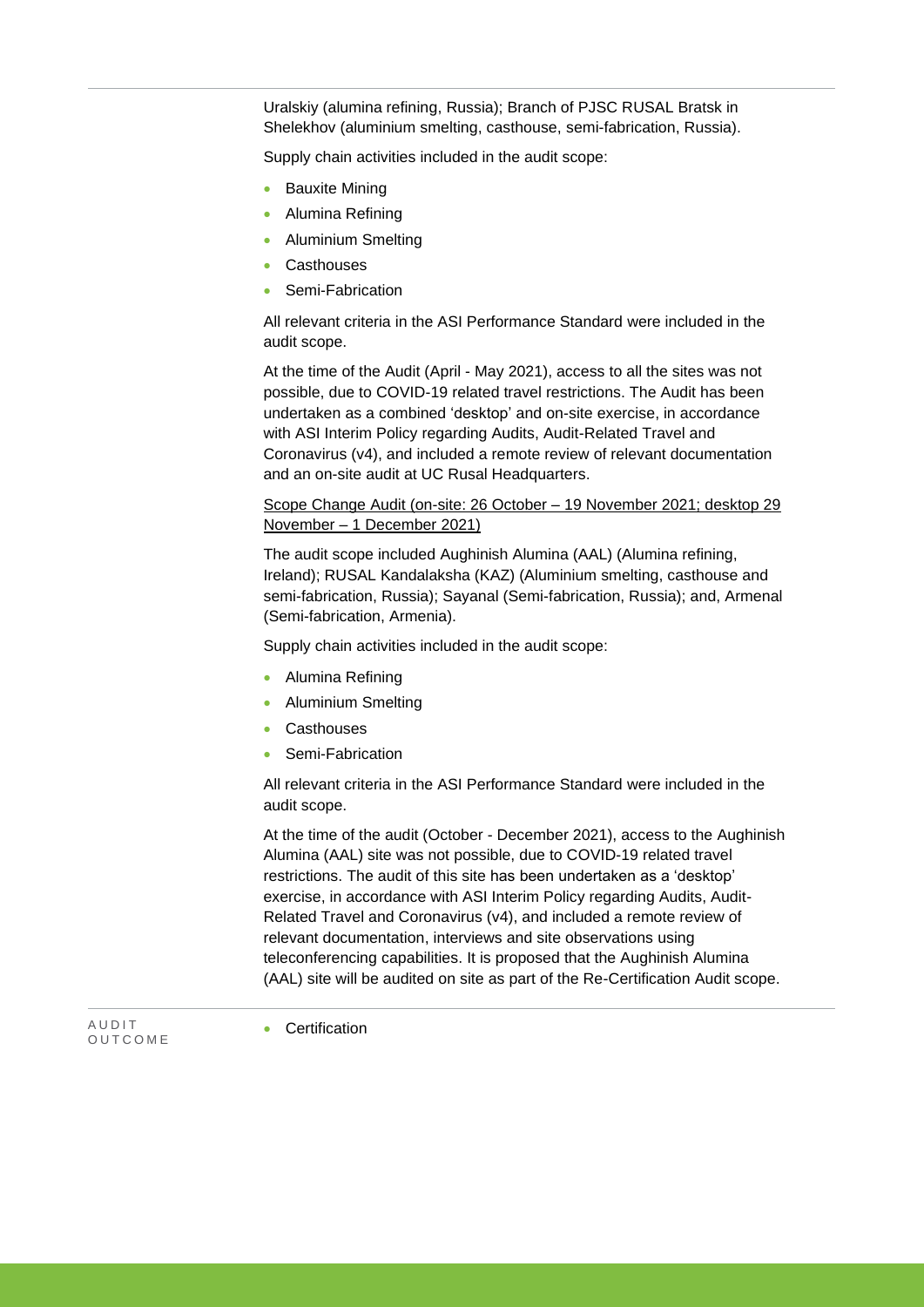Uralskiy (alumina refining, Russia); Branch of PJSC RUSAL Bratsk in Shelekhov (aluminium smelting, casthouse, semi-fabrication, Russia).

Supply chain activities included in the audit scope:

- **Bauxite Mining**
- Alumina Refining
- Aluminium Smelting
- **Casthouses**
- Semi-Fabrication

All relevant criteria in the ASI Performance Standard were included in the audit scope.

At the time of the Audit (April - May 2021), access to all the sites was not possible, due to COVID-19 related travel restrictions. The Audit has been undertaken as a combined 'desktop' and on-site exercise, in accordance with ASI Interim Policy regarding Audits, Audit-Related Travel and Coronavirus (v4), and included a remote review of relevant documentation and an on-site audit at UC Rusal Headquarters.

### Scope Change Audit (on-site: 26 October – 19 November 2021; desktop 29 November – 1 December 2021)

The audit scope included Aughinish Alumina (AAL) (Alumina refining, Ireland); RUSAL Kandalaksha (KAZ) (Aluminium smelting, casthouse and semi-fabrication, Russia); Sayanal (Semi-fabrication, Russia); and, Armenal (Semi-fabrication, Armenia).

Supply chain activities included in the audit scope:

- Alumina Refining
- Aluminium Smelting
- **Casthouses**
- Semi-Fabrication

All relevant criteria in the ASI Performance Standard were included in the audit scope.

At the time of the audit (October - December 2021), access to the Aughinish Alumina (AAL) site was not possible, due to COVID-19 related travel restrictions. The audit of this site has been undertaken as a 'desktop' exercise, in accordance with ASI Interim Policy regarding Audits, Audit-Related Travel and Coronavirus (v4), and included a remote review of relevant documentation, interviews and site observations using teleconferencing capabilities. It is proposed that the Aughinish Alumina (AAL) site will be audited on site as part of the Re-Certification Audit scope.

A U D I T O U T C O M E

**Certification**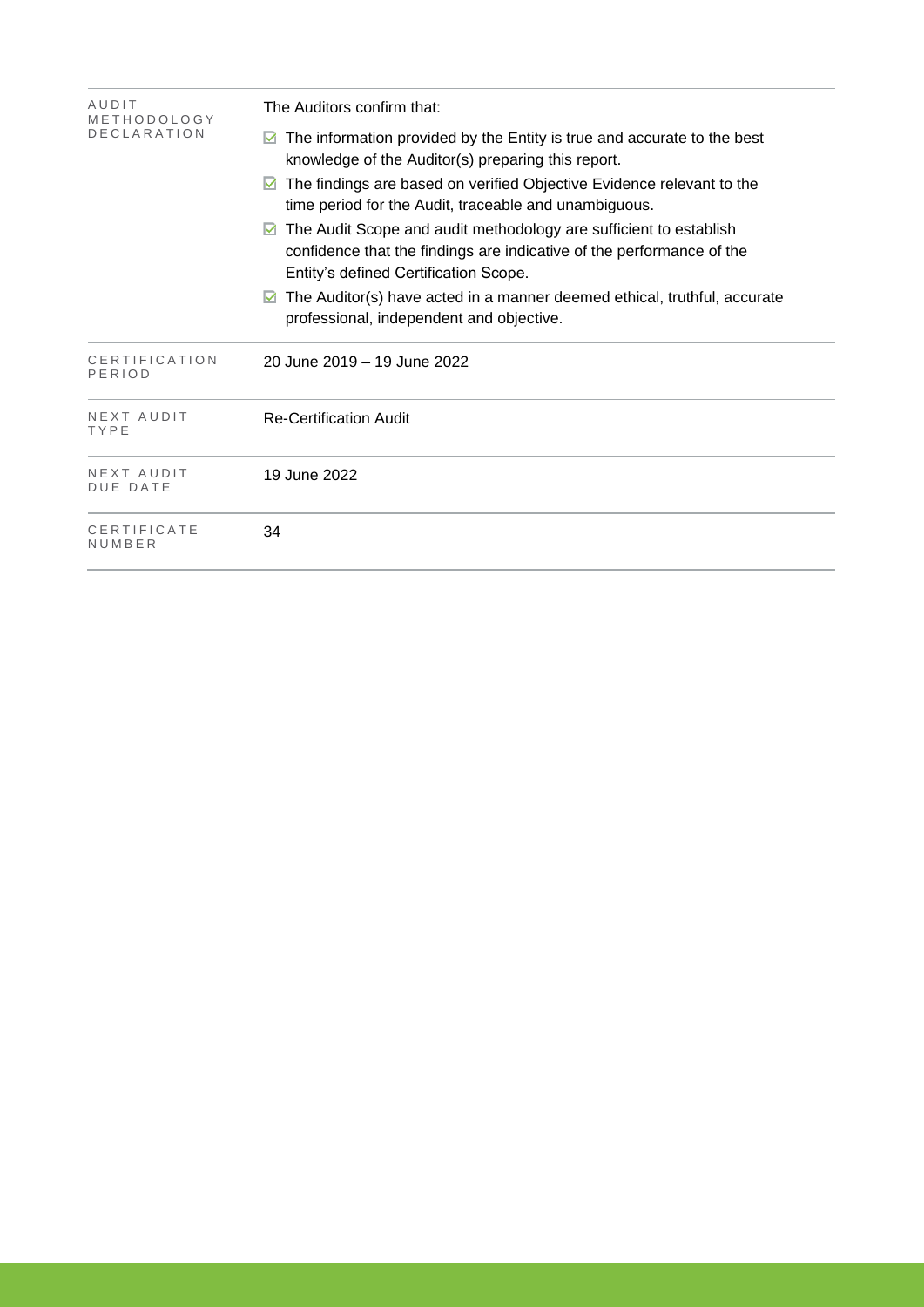| AUDIT<br>METHODOLOGY          | The Auditors confirm that:                                                                                                                                                          |  |  |  |  |
|-------------------------------|-------------------------------------------------------------------------------------------------------------------------------------------------------------------------------------|--|--|--|--|
| <b>DECLARATION</b>            | The information provided by the Entity is true and accurate to the best<br>knowledge of the Auditor(s) preparing this report.                                                       |  |  |  |  |
|                               | The findings are based on verified Objective Evidence relevant to the<br>M<br>time period for the Audit, traceable and unambiguous.                                                 |  |  |  |  |
|                               | The Audit Scope and audit methodology are sufficient to establish<br>confidence that the findings are indicative of the performance of the<br>Entity's defined Certification Scope. |  |  |  |  |
|                               | The Auditor(s) have acted in a manner deemed ethical, truthful, accurate<br>M<br>professional, independent and objective.                                                           |  |  |  |  |
| CERTIFICATION<br>PERIOD       | 20 June 2019 – 19 June 2022                                                                                                                                                         |  |  |  |  |
| NEXT AUDIT<br>TYPE            | Re-Certification Audit                                                                                                                                                              |  |  |  |  |
| NEXT AUDIT<br><b>DUE DATE</b> | 19 June 2022                                                                                                                                                                        |  |  |  |  |
| CERTIFICATE<br>NUMBER         | 34                                                                                                                                                                                  |  |  |  |  |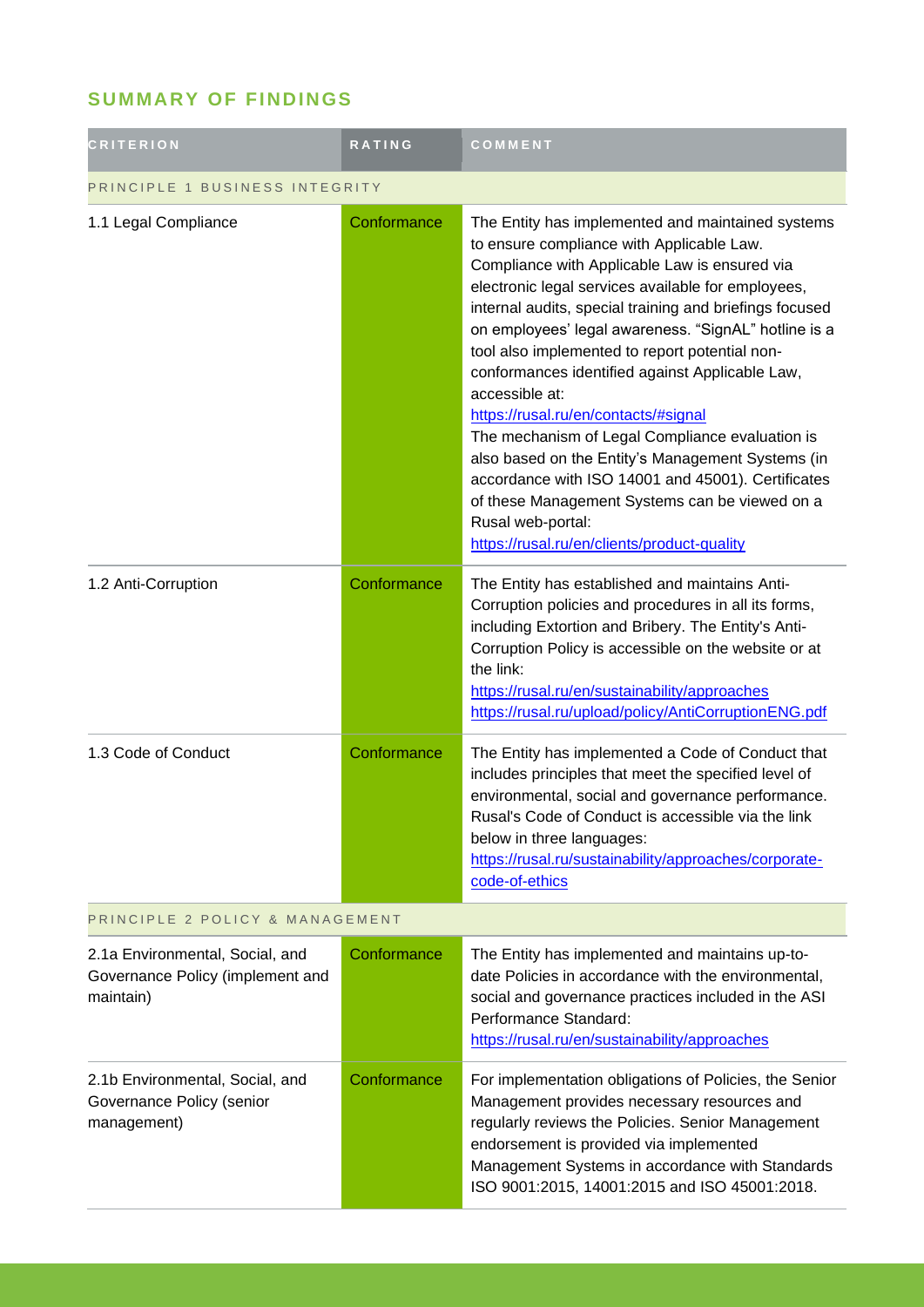# **SUMMARY OF FINDINGS**

| <b>CRITERION</b>                                                                 | <b>RATING</b> | COMMENT                                                                                                                                                                                                                                                                                                                                                                                                                                                                                                                                                                                                                                                                                                                                                                     |
|----------------------------------------------------------------------------------|---------------|-----------------------------------------------------------------------------------------------------------------------------------------------------------------------------------------------------------------------------------------------------------------------------------------------------------------------------------------------------------------------------------------------------------------------------------------------------------------------------------------------------------------------------------------------------------------------------------------------------------------------------------------------------------------------------------------------------------------------------------------------------------------------------|
| PRINCIPLE 1 BUSINESS INTEGRITY                                                   |               |                                                                                                                                                                                                                                                                                                                                                                                                                                                                                                                                                                                                                                                                                                                                                                             |
| 1.1 Legal Compliance                                                             | Conformance   | The Entity has implemented and maintained systems<br>to ensure compliance with Applicable Law.<br>Compliance with Applicable Law is ensured via<br>electronic legal services available for employees,<br>internal audits, special training and briefings focused<br>on employees' legal awareness. "SignAL" hotline is a<br>tool also implemented to report potential non-<br>conformances identified against Applicable Law,<br>accessible at:<br>https://rusal.ru/en/contacts/#signal<br>The mechanism of Legal Compliance evaluation is<br>also based on the Entity's Management Systems (in<br>accordance with ISO 14001 and 45001). Certificates<br>of these Management Systems can be viewed on a<br>Rusal web-portal:<br>https://rusal.ru/en/clients/product-quality |
| 1.2 Anti-Corruption                                                              | Conformance   | The Entity has established and maintains Anti-<br>Corruption policies and procedures in all its forms,<br>including Extortion and Bribery. The Entity's Anti-<br>Corruption Policy is accessible on the website or at<br>the link:<br>https://rusal.ru/en/sustainability/approaches<br>https://rusal.ru/upload/policy/AntiCorruptionENG.pdf                                                                                                                                                                                                                                                                                                                                                                                                                                 |
| 1.3 Code of Conduct                                                              | Conformance   | The Entity has implemented a Code of Conduct that<br>includes principles that meet the specified level of<br>environmental, social and governance performance.<br>Rusal's Code of Conduct is accessible via the link<br>below in three languages:<br>https://rusal.ru/sustainability/approaches/corporate-<br>code-of-ethics                                                                                                                                                                                                                                                                                                                                                                                                                                                |
| PRINCIPLE 2 POLICY & MANAGEMENT                                                  |               |                                                                                                                                                                                                                                                                                                                                                                                                                                                                                                                                                                                                                                                                                                                                                                             |
| 2.1a Environmental, Social, and<br>Governance Policy (implement and<br>maintain) | Conformance   | The Entity has implemented and maintains up-to-<br>date Policies in accordance with the environmental,<br>social and governance practices included in the ASI<br>Performance Standard:<br>https://rusal.ru/en/sustainability/approaches                                                                                                                                                                                                                                                                                                                                                                                                                                                                                                                                     |
| 2.1b Environmental, Social, and<br>Governance Policy (senior<br>management)      | Conformance   | For implementation obligations of Policies, the Senior<br>Management provides necessary resources and<br>regularly reviews the Policies. Senior Management<br>endorsement is provided via implemented<br>Management Systems in accordance with Standards<br>ISO 9001:2015, 14001:2015 and ISO 45001:2018.                                                                                                                                                                                                                                                                                                                                                                                                                                                                   |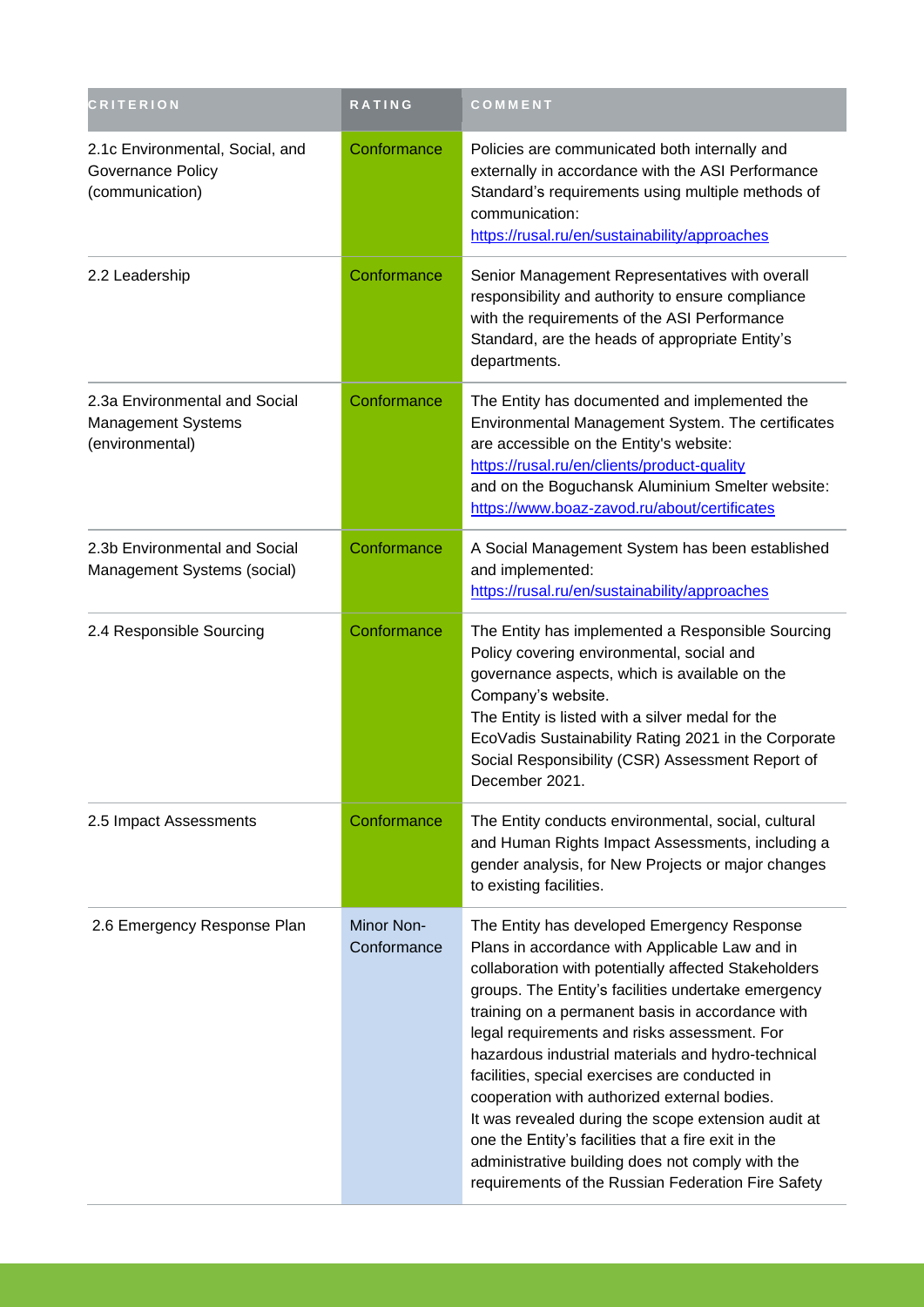| <b>CRITERION</b>                                                              | RATING                    | COMMENT                                                                                                                                                                                                                                                                                                                                                                                                                                                                                                                                                                                                                                                                                          |
|-------------------------------------------------------------------------------|---------------------------|--------------------------------------------------------------------------------------------------------------------------------------------------------------------------------------------------------------------------------------------------------------------------------------------------------------------------------------------------------------------------------------------------------------------------------------------------------------------------------------------------------------------------------------------------------------------------------------------------------------------------------------------------------------------------------------------------|
| 2.1c Environmental, Social, and<br>Governance Policy<br>(communication)       | Conformance               | Policies are communicated both internally and<br>externally in accordance with the ASI Performance<br>Standard's requirements using multiple methods of<br>communication:<br>https://rusal.ru/en/sustainability/approaches                                                                                                                                                                                                                                                                                                                                                                                                                                                                       |
| 2.2 Leadership                                                                | Conformance               | Senior Management Representatives with overall<br>responsibility and authority to ensure compliance<br>with the requirements of the ASI Performance<br>Standard, are the heads of appropriate Entity's<br>departments.                                                                                                                                                                                                                                                                                                                                                                                                                                                                           |
| 2.3a Environmental and Social<br><b>Management Systems</b><br>(environmental) | Conformance               | The Entity has documented and implemented the<br>Environmental Management System. The certificates<br>are accessible on the Entity's website:<br>https://rusal.ru/en/clients/product-quality<br>and on the Boguchansk Aluminium Smelter website:<br>https://www.boaz-zavod.ru/about/certificates                                                                                                                                                                                                                                                                                                                                                                                                 |
| 2.3b Environmental and Social<br>Management Systems (social)                  | Conformance               | A Social Management System has been established<br>and implemented:<br>https://rusal.ru/en/sustainability/approaches                                                                                                                                                                                                                                                                                                                                                                                                                                                                                                                                                                             |
| 2.4 Responsible Sourcing                                                      | Conformance               | The Entity has implemented a Responsible Sourcing<br>Policy covering environmental, social and<br>governance aspects, which is available on the<br>Company's website.<br>The Entity is listed with a silver medal for the<br>EcoVadis Sustainability Rating 2021 in the Corporate<br>Social Responsibility (CSR) Assessment Report of<br>December 2021.                                                                                                                                                                                                                                                                                                                                          |
| 2.5 Impact Assessments                                                        | Conformance               | The Entity conducts environmental, social, cultural<br>and Human Rights Impact Assessments, including a<br>gender analysis, for New Projects or major changes<br>to existing facilities.                                                                                                                                                                                                                                                                                                                                                                                                                                                                                                         |
| 2.6 Emergency Response Plan                                                   | Minor Non-<br>Conformance | The Entity has developed Emergency Response<br>Plans in accordance with Applicable Law and in<br>collaboration with potentially affected Stakeholders<br>groups. The Entity's facilities undertake emergency<br>training on a permanent basis in accordance with<br>legal requirements and risks assessment. For<br>hazardous industrial materials and hydro-technical<br>facilities, special exercises are conducted in<br>cooperation with authorized external bodies.<br>It was revealed during the scope extension audit at<br>one the Entity's facilities that a fire exit in the<br>administrative building does not comply with the<br>requirements of the Russian Federation Fire Safety |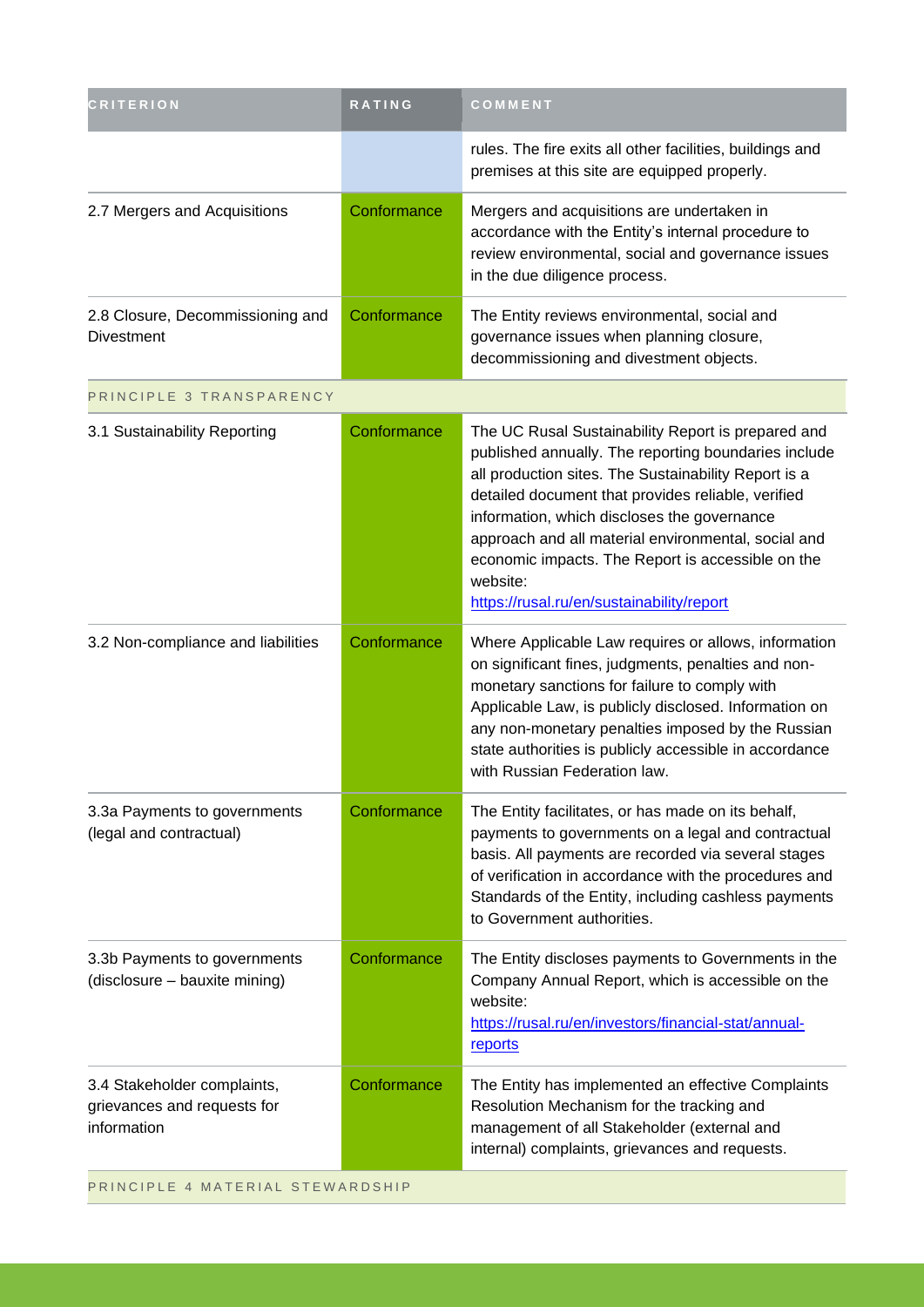| <b>CRITERION</b>                                                          | <b>RATING</b> | COMMENT                                                                                                                                                                                                                                                                                                                                                                                                                                      |
|---------------------------------------------------------------------------|---------------|----------------------------------------------------------------------------------------------------------------------------------------------------------------------------------------------------------------------------------------------------------------------------------------------------------------------------------------------------------------------------------------------------------------------------------------------|
|                                                                           |               | rules. The fire exits all other facilities, buildings and<br>premises at this site are equipped properly.                                                                                                                                                                                                                                                                                                                                    |
| 2.7 Mergers and Acquisitions                                              | Conformance   | Mergers and acquisitions are undertaken in<br>accordance with the Entity's internal procedure to<br>review environmental, social and governance issues<br>in the due diligence process.                                                                                                                                                                                                                                                      |
| 2.8 Closure, Decommissioning and<br><b>Divestment</b>                     | Conformance   | The Entity reviews environmental, social and<br>governance issues when planning closure,<br>decommissioning and divestment objects.                                                                                                                                                                                                                                                                                                          |
| PRINCIPLE 3 TRANSPARENCY                                                  |               |                                                                                                                                                                                                                                                                                                                                                                                                                                              |
| 3.1 Sustainability Reporting                                              | Conformance   | The UC Rusal Sustainability Report is prepared and<br>published annually. The reporting boundaries include<br>all production sites. The Sustainability Report is a<br>detailed document that provides reliable, verified<br>information, which discloses the governance<br>approach and all material environmental, social and<br>economic impacts. The Report is accessible on the<br>website:<br>https://rusal.ru/en/sustainability/report |
| 3.2 Non-compliance and liabilities                                        | Conformance   | Where Applicable Law requires or allows, information<br>on significant fines, judgments, penalties and non-<br>monetary sanctions for failure to comply with<br>Applicable Law, is publicly disclosed. Information on<br>any non-monetary penalties imposed by the Russian<br>state authorities is publicly accessible in accordance<br>with Russian Federation law.                                                                         |
| 3.3a Payments to governments<br>(legal and contractual)                   | Conformance   | The Entity facilitates, or has made on its behalf,<br>payments to governments on a legal and contractual<br>basis. All payments are recorded via several stages<br>of verification in accordance with the procedures and<br>Standards of the Entity, including cashless payments<br>to Government authorities.                                                                                                                               |
| 3.3b Payments to governments<br>(disclosure - bauxite mining)             | Conformance   | The Entity discloses payments to Governments in the<br>Company Annual Report, which is accessible on the<br>website:<br>https://rusal.ru/en/investors/financial-stat/annual-<br>reports                                                                                                                                                                                                                                                      |
| 3.4 Stakeholder complaints,<br>grievances and requests for<br>information | Conformance   | The Entity has implemented an effective Complaints<br>Resolution Mechanism for the tracking and<br>management of all Stakeholder (external and<br>internal) complaints, grievances and requests.                                                                                                                                                                                                                                             |
| PRINCIPLE 4 MATERIAL STEWARDSHIP                                          |               |                                                                                                                                                                                                                                                                                                                                                                                                                                              |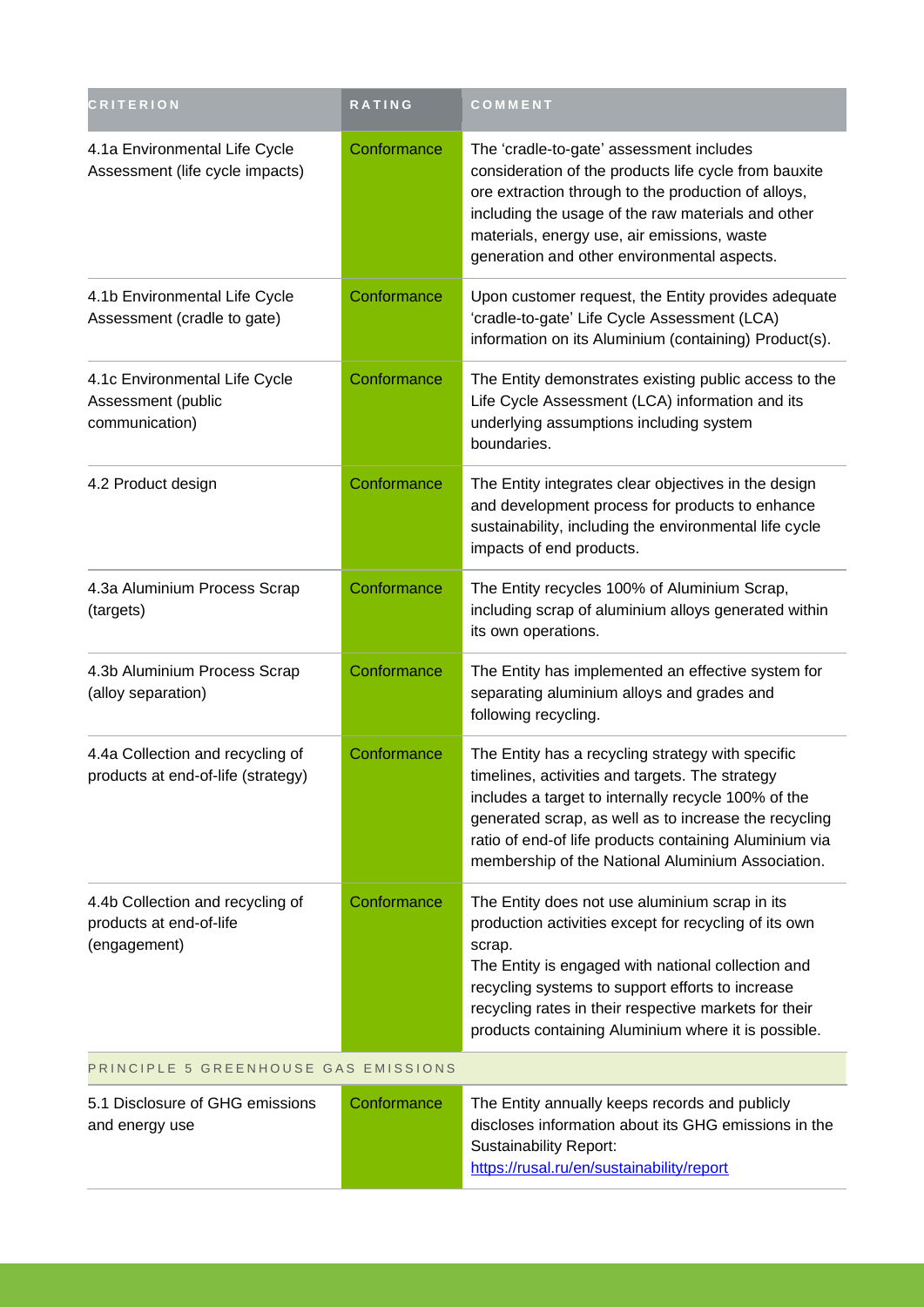| <b>CRITERION</b>                                                            | RATING      | COMMENT                                                                                                                                                                                                                                                                                                                                     |  |
|-----------------------------------------------------------------------------|-------------|---------------------------------------------------------------------------------------------------------------------------------------------------------------------------------------------------------------------------------------------------------------------------------------------------------------------------------------------|--|
| 4.1a Environmental Life Cycle<br>Assessment (life cycle impacts)            | Conformance | The 'cradle-to-gate' assessment includes<br>consideration of the products life cycle from bauxite<br>ore extraction through to the production of alloys,<br>including the usage of the raw materials and other<br>materials, energy use, air emissions, waste<br>generation and other environmental aspects.                                |  |
| 4.1b Environmental Life Cycle<br>Assessment (cradle to gate)                | Conformance | Upon customer request, the Entity provides adequate<br>'cradle-to-gate' Life Cycle Assessment (LCA)<br>information on its Aluminium (containing) Product(s).                                                                                                                                                                                |  |
| 4.1c Environmental Life Cycle<br>Assessment (public<br>communication)       | Conformance | The Entity demonstrates existing public access to the<br>Life Cycle Assessment (LCA) information and its<br>underlying assumptions including system<br>boundaries.                                                                                                                                                                          |  |
| 4.2 Product design                                                          | Conformance | The Entity integrates clear objectives in the design<br>and development process for products to enhance<br>sustainability, including the environmental life cycle<br>impacts of end products.                                                                                                                                               |  |
| 4.3a Aluminium Process Scrap<br>(targets)                                   | Conformance | The Entity recycles 100% of Aluminium Scrap,<br>including scrap of aluminium alloys generated within<br>its own operations.                                                                                                                                                                                                                 |  |
| 4.3b Aluminium Process Scrap<br>(alloy separation)                          | Conformance | The Entity has implemented an effective system for<br>separating aluminium alloys and grades and<br>following recycling.                                                                                                                                                                                                                    |  |
| 4.4a Collection and recycling of<br>products at end-of-life (strategy)      | Conformance | The Entity has a recycling strategy with specific<br>timelines, activities and targets. The strategy<br>includes a target to internally recycle 100% of the<br>generated scrap, as well as to increase the recycling<br>ratio of end-of life products containing Aluminium via<br>membership of the National Aluminium Association.         |  |
| 4.4b Collection and recycling of<br>products at end-of-life<br>(engagement) | Conformance | The Entity does not use aluminium scrap in its<br>production activities except for recycling of its own<br>scrap.<br>The Entity is engaged with national collection and<br>recycling systems to support efforts to increase<br>recycling rates in their respective markets for their<br>products containing Aluminium where it is possible. |  |
| PRINCIPLE 5 GREENHOUSE GAS EMISSIONS                                        |             |                                                                                                                                                                                                                                                                                                                                             |  |
| 5.1 Disclosure of GHG emissions<br>and energy use                           | Conformance | The Entity annually keeps records and publicly<br>discloses information about its GHG emissions in the<br><b>Sustainability Report:</b><br>https://rusal.ru/en/sustainability/report                                                                                                                                                        |  |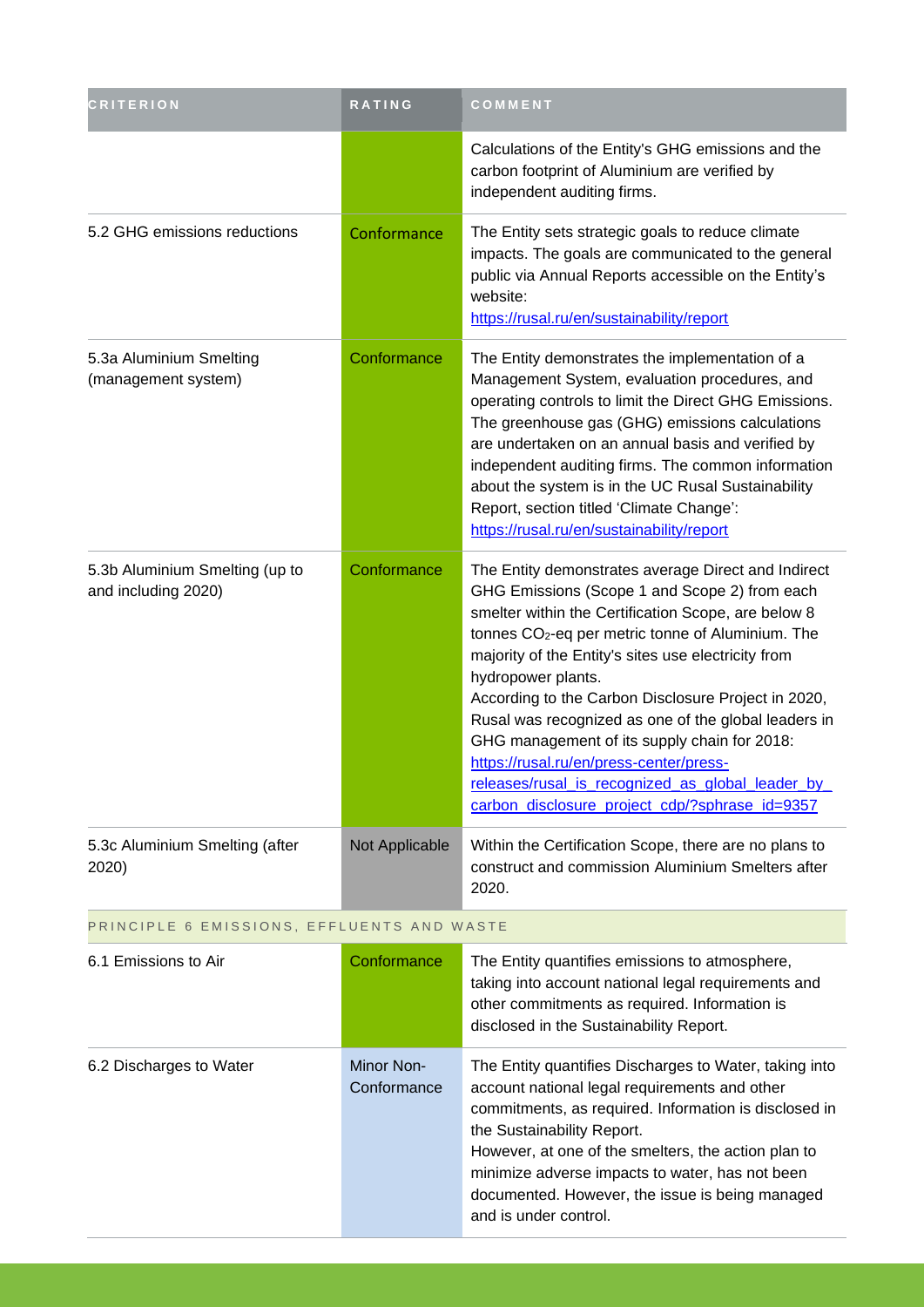| <b>CRITERION</b>                                      | <b>RATING</b>             | COMMENT                                                                                                                                                                                                                                                                                                                                                                                                                                                                                                                                                                                                                   |
|-------------------------------------------------------|---------------------------|---------------------------------------------------------------------------------------------------------------------------------------------------------------------------------------------------------------------------------------------------------------------------------------------------------------------------------------------------------------------------------------------------------------------------------------------------------------------------------------------------------------------------------------------------------------------------------------------------------------------------|
|                                                       |                           | Calculations of the Entity's GHG emissions and the<br>carbon footprint of Aluminium are verified by<br>independent auditing firms.                                                                                                                                                                                                                                                                                                                                                                                                                                                                                        |
| 5.2 GHG emissions reductions                          | Conformance               | The Entity sets strategic goals to reduce climate<br>impacts. The goals are communicated to the general<br>public via Annual Reports accessible on the Entity's<br>website:<br>https://rusal.ru/en/sustainability/report                                                                                                                                                                                                                                                                                                                                                                                                  |
| 5.3a Aluminium Smelting<br>(management system)        | Conformance               | The Entity demonstrates the implementation of a<br>Management System, evaluation procedures, and<br>operating controls to limit the Direct GHG Emissions.<br>The greenhouse gas (GHG) emissions calculations<br>are undertaken on an annual basis and verified by<br>independent auditing firms. The common information<br>about the system is in the UC Rusal Sustainability<br>Report, section titled 'Climate Change':<br>https://rusal.ru/en/sustainability/report                                                                                                                                                    |
| 5.3b Aluminium Smelting (up to<br>and including 2020) | Conformance               | The Entity demonstrates average Direct and Indirect<br>GHG Emissions (Scope 1 and Scope 2) from each<br>smelter within the Certification Scope, are below 8<br>tonnes CO <sub>2</sub> -eq per metric tonne of Aluminium. The<br>majority of the Entity's sites use electricity from<br>hydropower plants.<br>According to the Carbon Disclosure Project in 2020,<br>Rusal was recognized as one of the global leaders in<br>GHG management of its supply chain for 2018:<br>https://rusal.ru/en/press-center/press-<br>releases/rusal is recognized as global leader by<br>carbon_disclosure_project_cdp/?sphrase_id=9357 |
| 5.3c Aluminium Smelting (after<br>2020)               | Not Applicable            | Within the Certification Scope, there are no plans to<br>construct and commission Aluminium Smelters after<br>2020.                                                                                                                                                                                                                                                                                                                                                                                                                                                                                                       |
| PRINCIPLE 6 EMISSIONS, EFFLUENTS AND WASTE            |                           |                                                                                                                                                                                                                                                                                                                                                                                                                                                                                                                                                                                                                           |
| 6.1 Emissions to Air                                  | Conformance               | The Entity quantifies emissions to atmosphere,<br>taking into account national legal requirements and<br>other commitments as required. Information is<br>disclosed in the Sustainability Report.                                                                                                                                                                                                                                                                                                                                                                                                                         |
| 6.2 Discharges to Water                               | Minor Non-<br>Conformance | The Entity quantifies Discharges to Water, taking into<br>account national legal requirements and other<br>commitments, as required. Information is disclosed in<br>the Sustainability Report.<br>However, at one of the smelters, the action plan to<br>minimize adverse impacts to water, has not been<br>documented. However, the issue is being managed<br>and is under control.                                                                                                                                                                                                                                      |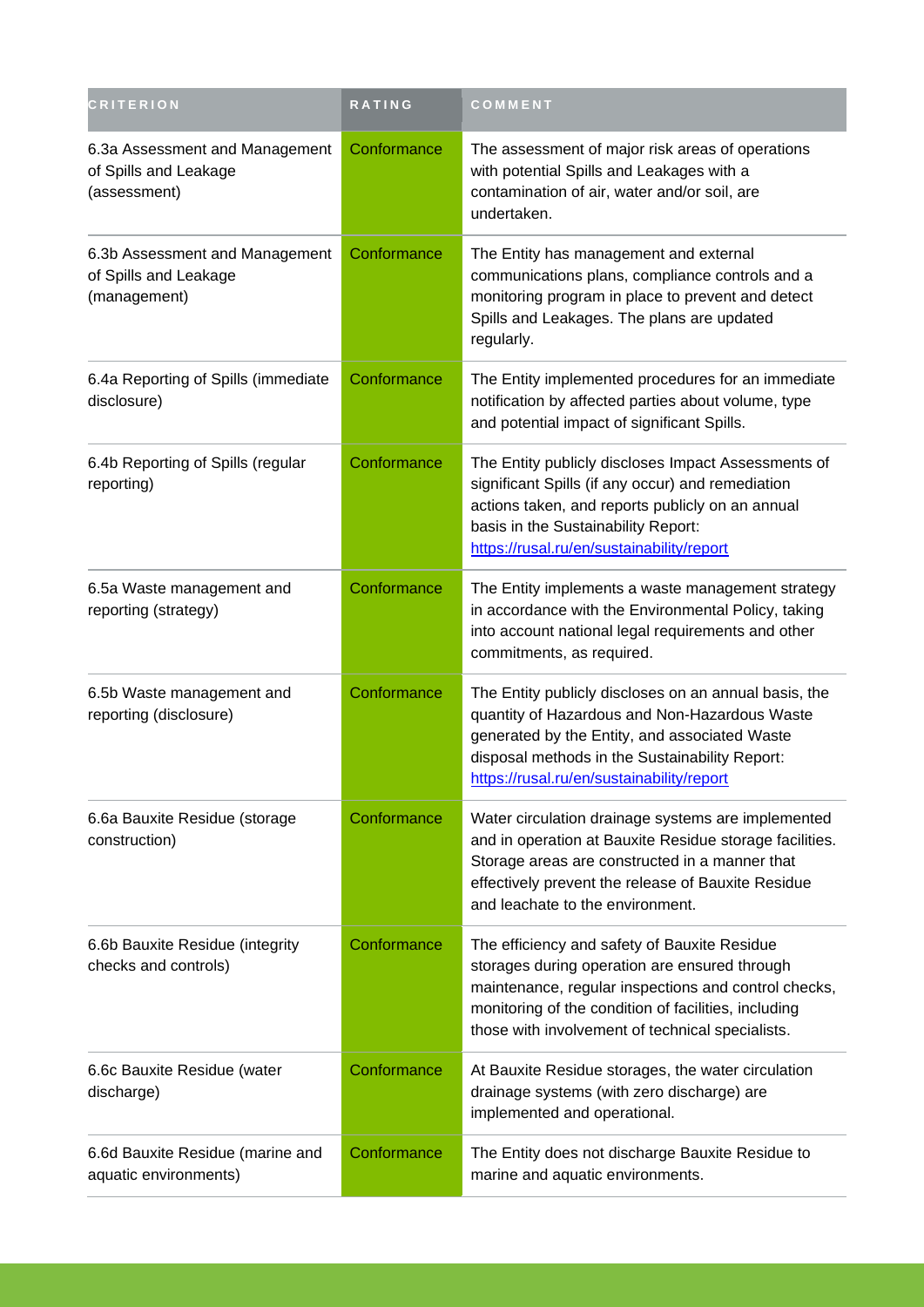| <b>CRITERION</b>                                                        | RATING      | COMMENT                                                                                                                                                                                                                                                           |
|-------------------------------------------------------------------------|-------------|-------------------------------------------------------------------------------------------------------------------------------------------------------------------------------------------------------------------------------------------------------------------|
| 6.3a Assessment and Management<br>of Spills and Leakage<br>(assessment) | Conformance | The assessment of major risk areas of operations<br>with potential Spills and Leakages with a<br>contamination of air, water and/or soil, are<br>undertaken.                                                                                                      |
| 6.3b Assessment and Management<br>of Spills and Leakage<br>(management) | Conformance | The Entity has management and external<br>communications plans, compliance controls and a<br>monitoring program in place to prevent and detect<br>Spills and Leakages. The plans are updated<br>regularly.                                                        |
| 6.4a Reporting of Spills (immediate<br>disclosure)                      | Conformance | The Entity implemented procedures for an immediate<br>notification by affected parties about volume, type<br>and potential impact of significant Spills.                                                                                                          |
| 6.4b Reporting of Spills (regular<br>reporting)                         | Conformance | The Entity publicly discloses Impact Assessments of<br>significant Spills (if any occur) and remediation<br>actions taken, and reports publicly on an annual<br>basis in the Sustainability Report:<br>https://rusal.ru/en/sustainability/report                  |
| 6.5a Waste management and<br>reporting (strategy)                       | Conformance | The Entity implements a waste management strategy<br>in accordance with the Environmental Policy, taking<br>into account national legal requirements and other<br>commitments, as required.                                                                       |
| 6.5b Waste management and<br>reporting (disclosure)                     | Conformance | The Entity publicly discloses on an annual basis, the<br>quantity of Hazardous and Non-Hazardous Waste<br>generated by the Entity, and associated Waste<br>disposal methods in the Sustainability Report:<br>https://rusal.ru/en/sustainability/report            |
| 6.6a Bauxite Residue (storage<br>construction)                          | Conformance | Water circulation drainage systems are implemented<br>and in operation at Bauxite Residue storage facilities.<br>Storage areas are constructed in a manner that<br>effectively prevent the release of Bauxite Residue<br>and leachate to the environment.         |
| 6.6b Bauxite Residue (integrity<br>checks and controls)                 | Conformance | The efficiency and safety of Bauxite Residue<br>storages during operation are ensured through<br>maintenance, regular inspections and control checks,<br>monitoring of the condition of facilities, including<br>those with involvement of technical specialists. |
| 6.6c Bauxite Residue (water<br>discharge)                               | Conformance | At Bauxite Residue storages, the water circulation<br>drainage systems (with zero discharge) are<br>implemented and operational.                                                                                                                                  |
| 6.6d Bauxite Residue (marine and<br>aquatic environments)               | Conformance | The Entity does not discharge Bauxite Residue to<br>marine and aquatic environments.                                                                                                                                                                              |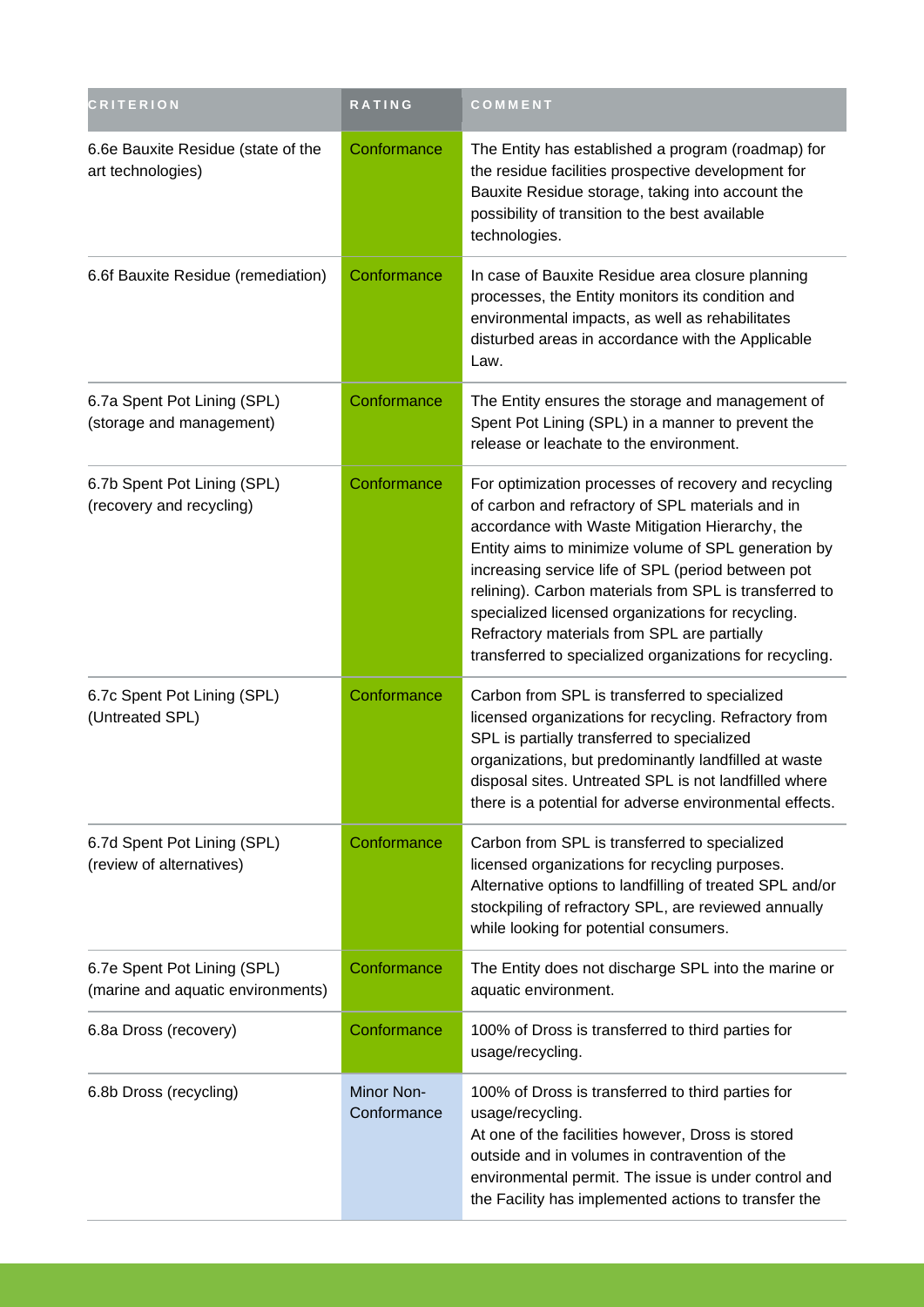| <b>CRITERION</b>                                                 | RATING                    | COMMENT                                                                                                                                                                                                                                                                                                                                                                                                                                                                                           |
|------------------------------------------------------------------|---------------------------|---------------------------------------------------------------------------------------------------------------------------------------------------------------------------------------------------------------------------------------------------------------------------------------------------------------------------------------------------------------------------------------------------------------------------------------------------------------------------------------------------|
| 6.6e Bauxite Residue (state of the<br>art technologies)          | Conformance               | The Entity has established a program (roadmap) for<br>the residue facilities prospective development for<br>Bauxite Residue storage, taking into account the<br>possibility of transition to the best available<br>technologies.                                                                                                                                                                                                                                                                  |
| 6.6f Bauxite Residue (remediation)                               | Conformance               | In case of Bauxite Residue area closure planning<br>processes, the Entity monitors its condition and<br>environmental impacts, as well as rehabilitates<br>disturbed areas in accordance with the Applicable<br>Law.                                                                                                                                                                                                                                                                              |
| 6.7a Spent Pot Lining (SPL)<br>(storage and management)          | Conformance               | The Entity ensures the storage and management of<br>Spent Pot Lining (SPL) in a manner to prevent the<br>release or leachate to the environment.                                                                                                                                                                                                                                                                                                                                                  |
| 6.7b Spent Pot Lining (SPL)<br>(recovery and recycling)          | Conformance               | For optimization processes of recovery and recycling<br>of carbon and refractory of SPL materials and in<br>accordance with Waste Mitigation Hierarchy, the<br>Entity aims to minimize volume of SPL generation by<br>increasing service life of SPL (period between pot<br>relining). Carbon materials from SPL is transferred to<br>specialized licensed organizations for recycling.<br>Refractory materials from SPL are partially<br>transferred to specialized organizations for recycling. |
| 6.7c Spent Pot Lining (SPL)<br>(Untreated SPL)                   | Conformance               | Carbon from SPL is transferred to specialized<br>licensed organizations for recycling. Refractory from<br>SPL is partially transferred to specialized<br>organizations, but predominantly landfilled at waste<br>disposal sites. Untreated SPL is not landfilled where<br>there is a potential for adverse environmental effects.                                                                                                                                                                 |
| 6.7d Spent Pot Lining (SPL)<br>(review of alternatives)          | Conformance               | Carbon from SPL is transferred to specialized<br>licensed organizations for recycling purposes.<br>Alternative options to landfilling of treated SPL and/or<br>stockpiling of refractory SPL, are reviewed annually<br>while looking for potential consumers.                                                                                                                                                                                                                                     |
| 6.7e Spent Pot Lining (SPL)<br>(marine and aquatic environments) | Conformance               | The Entity does not discharge SPL into the marine or<br>aquatic environment.                                                                                                                                                                                                                                                                                                                                                                                                                      |
| 6.8a Dross (recovery)                                            | Conformance               | 100% of Dross is transferred to third parties for<br>usage/recycling.                                                                                                                                                                                                                                                                                                                                                                                                                             |
| 6.8b Dross (recycling)                                           | Minor Non-<br>Conformance | 100% of Dross is transferred to third parties for<br>usage/recycling.<br>At one of the facilities however, Dross is stored<br>outside and in volumes in contravention of the<br>environmental permit. The issue is under control and<br>the Facility has implemented actions to transfer the                                                                                                                                                                                                      |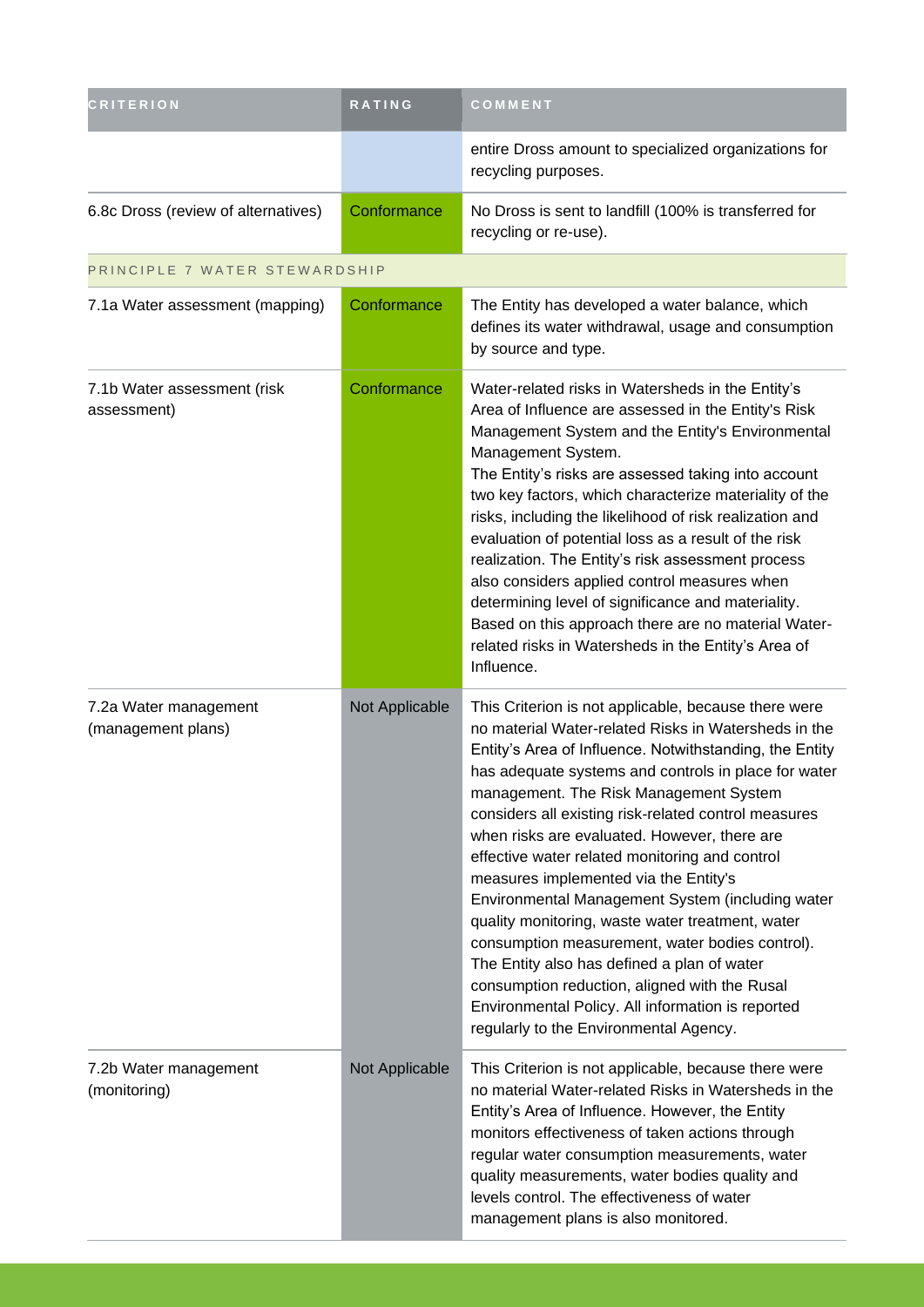| <b>CRITERION</b>                            | RATING         | COMMENT                                                                                                                                                                                                                                                                                                                                                                                                                                                                                                                                                                                                                                                                                                                                                                                                                                |
|---------------------------------------------|----------------|----------------------------------------------------------------------------------------------------------------------------------------------------------------------------------------------------------------------------------------------------------------------------------------------------------------------------------------------------------------------------------------------------------------------------------------------------------------------------------------------------------------------------------------------------------------------------------------------------------------------------------------------------------------------------------------------------------------------------------------------------------------------------------------------------------------------------------------|
|                                             |                | entire Dross amount to specialized organizations for<br>recycling purposes.                                                                                                                                                                                                                                                                                                                                                                                                                                                                                                                                                                                                                                                                                                                                                            |
| 6.8c Dross (review of alternatives)         | Conformance    | No Dross is sent to landfill (100% is transferred for<br>recycling or re-use).                                                                                                                                                                                                                                                                                                                                                                                                                                                                                                                                                                                                                                                                                                                                                         |
| PRINCIPLE 7 WATER STEWARDSHIP               |                |                                                                                                                                                                                                                                                                                                                                                                                                                                                                                                                                                                                                                                                                                                                                                                                                                                        |
| 7.1a Water assessment (mapping)             | Conformance    | The Entity has developed a water balance, which<br>defines its water withdrawal, usage and consumption<br>by source and type.                                                                                                                                                                                                                                                                                                                                                                                                                                                                                                                                                                                                                                                                                                          |
| 7.1b Water assessment (risk<br>assessment)  | Conformance    | Water-related risks in Watersheds in the Entity's<br>Area of Influence are assessed in the Entity's Risk<br>Management System and the Entity's Environmental<br>Management System.<br>The Entity's risks are assessed taking into account<br>two key factors, which characterize materiality of the<br>risks, including the likelihood of risk realization and<br>evaluation of potential loss as a result of the risk<br>realization. The Entity's risk assessment process<br>also considers applied control measures when<br>determining level of significance and materiality.<br>Based on this approach there are no material Water-<br>related risks in Watersheds in the Entity's Area of<br>Influence.                                                                                                                          |
| 7.2a Water management<br>(management plans) | Not Applicable | This Criterion is not applicable, because there were<br>no material Water-related Risks in Watersheds in the<br>Entity's Area of Influence. Notwithstanding, the Entity<br>has adequate systems and controls in place for water<br>management. The Risk Management System<br>considers all existing risk-related control measures<br>when risks are evaluated. However, there are<br>effective water related monitoring and control<br>measures implemented via the Entity's<br>Environmental Management System (including water<br>quality monitoring, waste water treatment, water<br>consumption measurement, water bodies control).<br>The Entity also has defined a plan of water<br>consumption reduction, aligned with the Rusal<br>Environmental Policy. All information is reported<br>regularly to the Environmental Agency. |
| 7.2b Water management<br>(monitoring)       | Not Applicable | This Criterion is not applicable, because there were<br>no material Water-related Risks in Watersheds in the<br>Entity's Area of Influence. However, the Entity<br>monitors effectiveness of taken actions through<br>regular water consumption measurements, water<br>quality measurements, water bodies quality and<br>levels control. The effectiveness of water<br>management plans is also monitored.                                                                                                                                                                                                                                                                                                                                                                                                                             |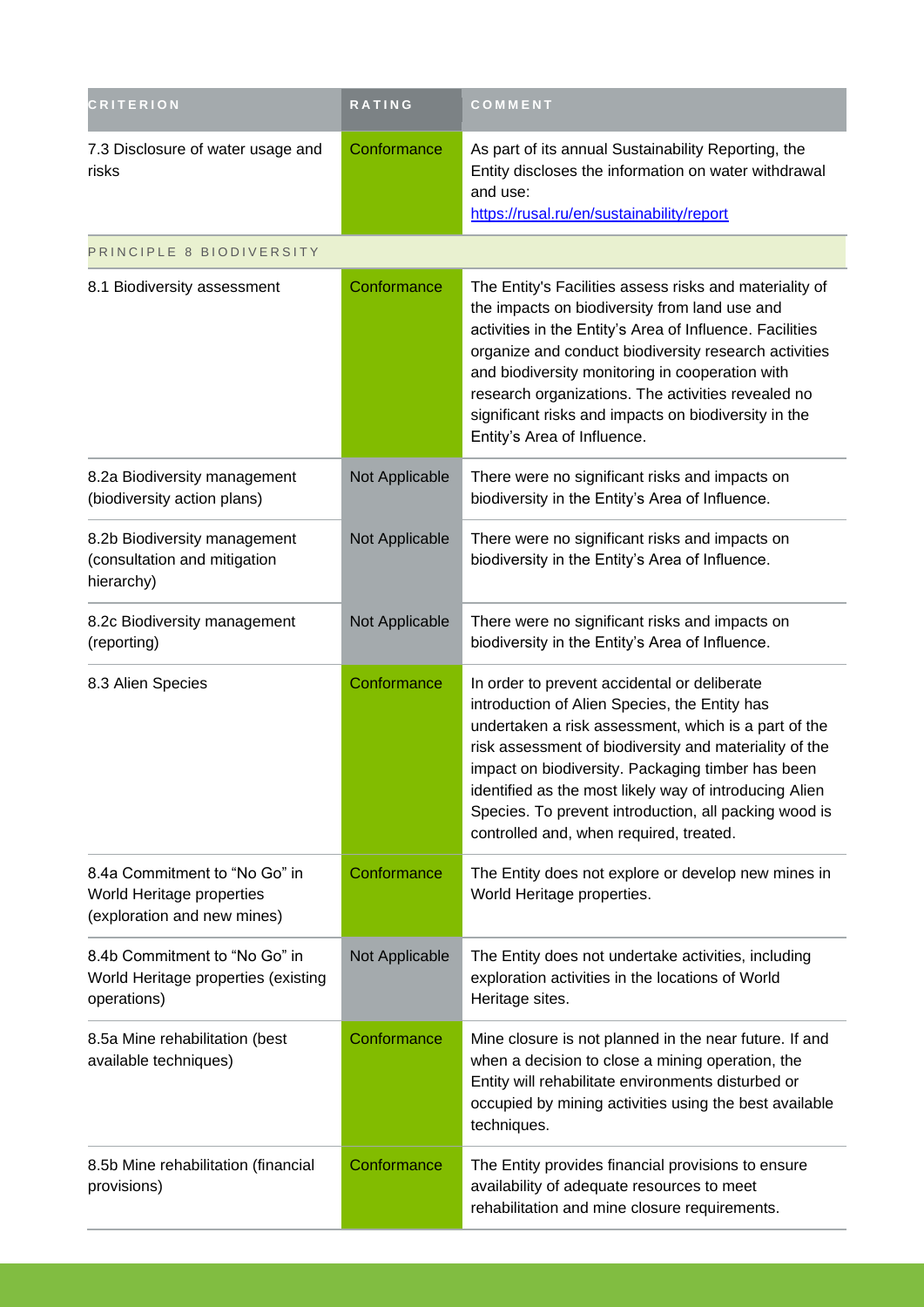| <b>CRITERION</b>                                                                          | <b>RATING</b>  | COMMENT                                                                                                                                                                                                                                                                                                                                                                                                                            |
|-------------------------------------------------------------------------------------------|----------------|------------------------------------------------------------------------------------------------------------------------------------------------------------------------------------------------------------------------------------------------------------------------------------------------------------------------------------------------------------------------------------------------------------------------------------|
| 7.3 Disclosure of water usage and<br>risks                                                | Conformance    | As part of its annual Sustainability Reporting, the<br>Entity discloses the information on water withdrawal<br>and use:<br>https://rusal.ru/en/sustainability/report                                                                                                                                                                                                                                                               |
| PRINCIPLE 8 BIODIVERSITY                                                                  |                |                                                                                                                                                                                                                                                                                                                                                                                                                                    |
| 8.1 Biodiversity assessment                                                               | Conformance    | The Entity's Facilities assess risks and materiality of<br>the impacts on biodiversity from land use and<br>activities in the Entity's Area of Influence. Facilities<br>organize and conduct biodiversity research activities<br>and biodiversity monitoring in cooperation with<br>research organizations. The activities revealed no<br>significant risks and impacts on biodiversity in the<br>Entity's Area of Influence.      |
| 8.2a Biodiversity management<br>(biodiversity action plans)                               | Not Applicable | There were no significant risks and impacts on<br>biodiversity in the Entity's Area of Influence.                                                                                                                                                                                                                                                                                                                                  |
| 8.2b Biodiversity management<br>(consultation and mitigation<br>hierarchy)                | Not Applicable | There were no significant risks and impacts on<br>biodiversity in the Entity's Area of Influence.                                                                                                                                                                                                                                                                                                                                  |
| 8.2c Biodiversity management<br>(reporting)                                               | Not Applicable | There were no significant risks and impacts on<br>biodiversity in the Entity's Area of Influence.                                                                                                                                                                                                                                                                                                                                  |
| 8.3 Alien Species                                                                         | Conformance    | In order to prevent accidental or deliberate<br>introduction of Alien Species, the Entity has<br>undertaken a risk assessment, which is a part of the<br>risk assessment of biodiversity and materiality of the<br>impact on biodiversity. Packaging timber has been<br>identified as the most likely way of introducing Alien<br>Species. To prevent introduction, all packing wood is<br>controlled and, when required, treated. |
| 8.4a Commitment to "No Go" in<br>World Heritage properties<br>(exploration and new mines) | Conformance    | The Entity does not explore or develop new mines in<br>World Heritage properties.                                                                                                                                                                                                                                                                                                                                                  |
| 8.4b Commitment to "No Go" in<br>World Heritage properties (existing<br>operations)       | Not Applicable | The Entity does not undertake activities, including<br>exploration activities in the locations of World<br>Heritage sites.                                                                                                                                                                                                                                                                                                         |
| 8.5a Mine rehabilitation (best<br>available techniques)                                   | Conformance    | Mine closure is not planned in the near future. If and<br>when a decision to close a mining operation, the<br>Entity will rehabilitate environments disturbed or<br>occupied by mining activities using the best available<br>techniques.                                                                                                                                                                                          |
| 8.5b Mine rehabilitation (financial<br>provisions)                                        | Conformance    | The Entity provides financial provisions to ensure<br>availability of adequate resources to meet<br>rehabilitation and mine closure requirements.                                                                                                                                                                                                                                                                                  |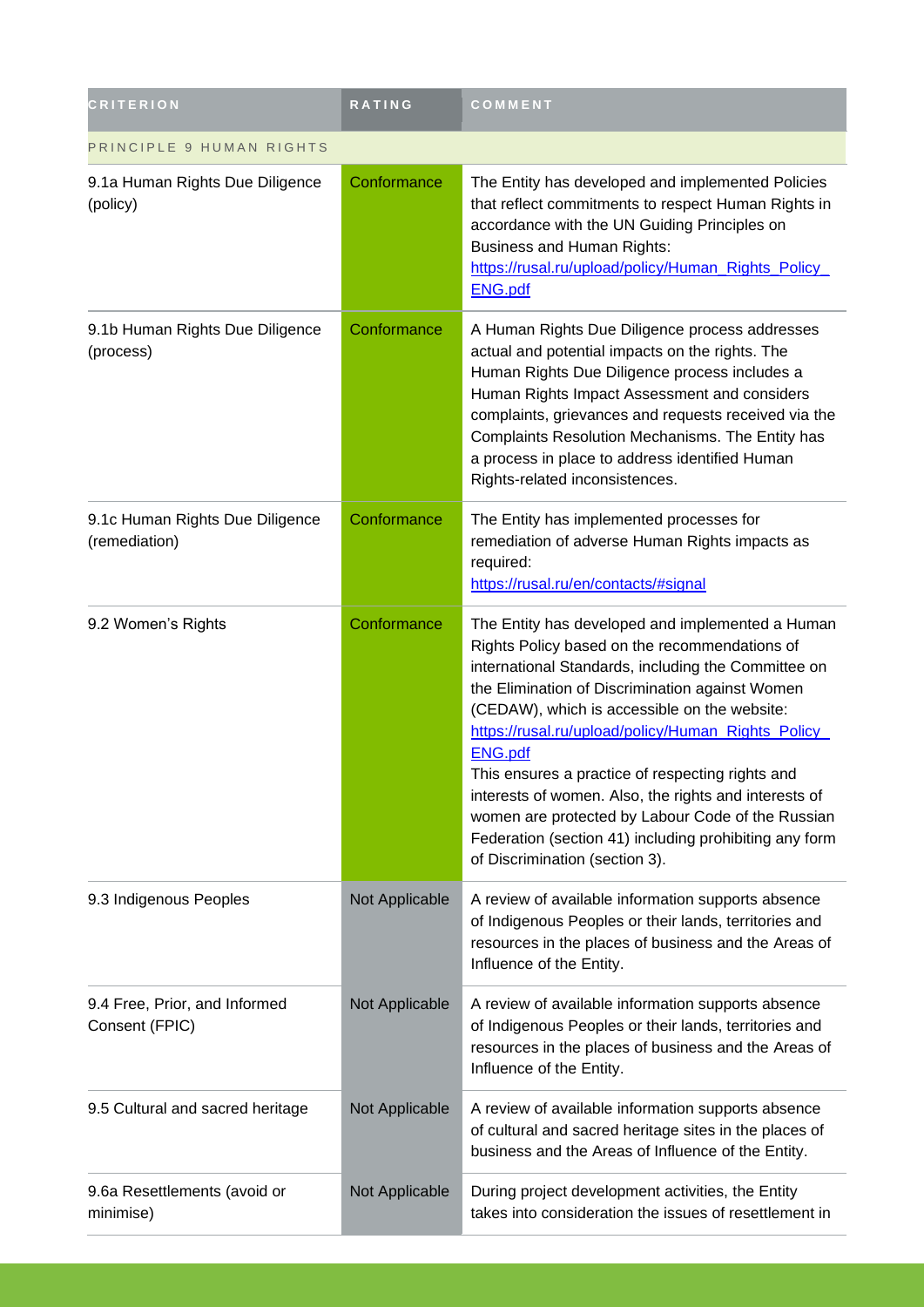| <b>CRITERION</b>                                 | RATING         | COMMENT                                                                                                                                                                                                                                                                                                                                                                                                                                                                                                                                                                                            |  |
|--------------------------------------------------|----------------|----------------------------------------------------------------------------------------------------------------------------------------------------------------------------------------------------------------------------------------------------------------------------------------------------------------------------------------------------------------------------------------------------------------------------------------------------------------------------------------------------------------------------------------------------------------------------------------------------|--|
| PRINCIPLE 9 HUMAN RIGHTS                         |                |                                                                                                                                                                                                                                                                                                                                                                                                                                                                                                                                                                                                    |  |
| 9.1a Human Rights Due Diligence<br>(policy)      | Conformance    | The Entity has developed and implemented Policies<br>that reflect commitments to respect Human Rights in<br>accordance with the UN Guiding Principles on<br><b>Business and Human Rights:</b><br>https://rusal.ru/upload/policy/Human_Rights_Policy_<br><b>ENG.pdf</b>                                                                                                                                                                                                                                                                                                                             |  |
| 9.1b Human Rights Due Diligence<br>(process)     | Conformance    | A Human Rights Due Diligence process addresses<br>actual and potential impacts on the rights. The<br>Human Rights Due Diligence process includes a<br>Human Rights Impact Assessment and considers<br>complaints, grievances and requests received via the<br>Complaints Resolution Mechanisms. The Entity has<br>a process in place to address identified Human<br>Rights-related inconsistences.                                                                                                                                                                                                 |  |
| 9.1c Human Rights Due Diligence<br>(remediation) | Conformance    | The Entity has implemented processes for<br>remediation of adverse Human Rights impacts as<br>required:<br>https://rusal.ru/en/contacts/#signal                                                                                                                                                                                                                                                                                                                                                                                                                                                    |  |
| 9.2 Women's Rights                               | Conformance    | The Entity has developed and implemented a Human<br>Rights Policy based on the recommendations of<br>international Standards, including the Committee on<br>the Elimination of Discrimination against Women<br>(CEDAW), which is accessible on the website:<br>https://rusal.ru/upload/policy/Human_Rights_Policy_<br><b>ENG.pdf</b><br>This ensures a practice of respecting rights and<br>interests of women. Also, the rights and interests of<br>women are protected by Labour Code of the Russian<br>Federation (section 41) including prohibiting any form<br>of Discrimination (section 3). |  |
| 9.3 Indigenous Peoples                           | Not Applicable | A review of available information supports absence<br>of Indigenous Peoples or their lands, territories and<br>resources in the places of business and the Areas of<br>Influence of the Entity.                                                                                                                                                                                                                                                                                                                                                                                                    |  |
| 9.4 Free, Prior, and Informed<br>Consent (FPIC)  | Not Applicable | A review of available information supports absence<br>of Indigenous Peoples or their lands, territories and<br>resources in the places of business and the Areas of<br>Influence of the Entity.                                                                                                                                                                                                                                                                                                                                                                                                    |  |
| 9.5 Cultural and sacred heritage                 | Not Applicable | A review of available information supports absence<br>of cultural and sacred heritage sites in the places of<br>business and the Areas of Influence of the Entity.                                                                                                                                                                                                                                                                                                                                                                                                                                 |  |
| 9.6a Resettlements (avoid or<br>minimise)        | Not Applicable | During project development activities, the Entity<br>takes into consideration the issues of resettlement in                                                                                                                                                                                                                                                                                                                                                                                                                                                                                        |  |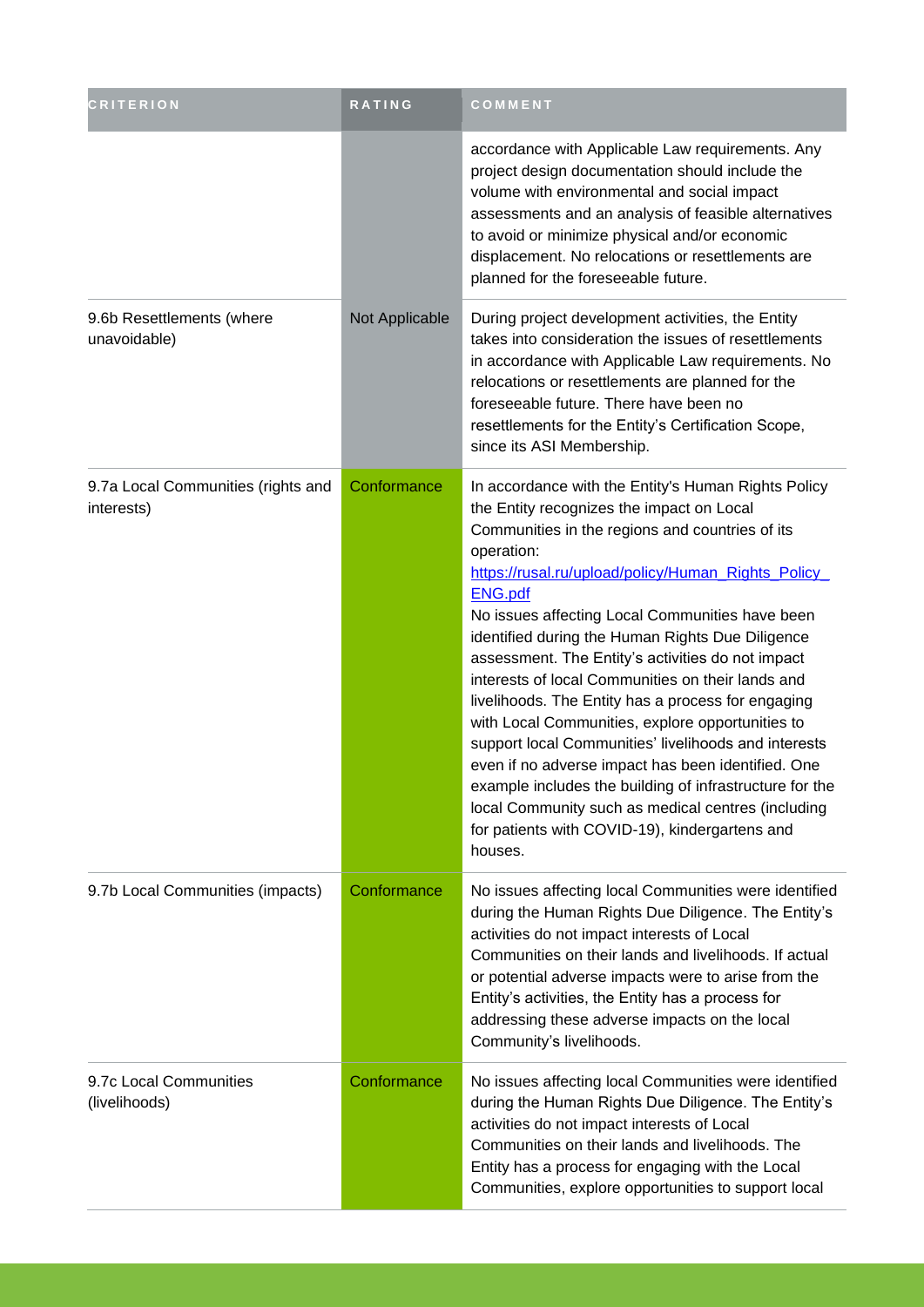| <b>CRITERION</b>                                 | RATING         | COMMENT                                                                                                                                                                                                                                                                                                                                                                                                                                                                                                                                                                                                                                                                                                                                                                                                                                                           |
|--------------------------------------------------|----------------|-------------------------------------------------------------------------------------------------------------------------------------------------------------------------------------------------------------------------------------------------------------------------------------------------------------------------------------------------------------------------------------------------------------------------------------------------------------------------------------------------------------------------------------------------------------------------------------------------------------------------------------------------------------------------------------------------------------------------------------------------------------------------------------------------------------------------------------------------------------------|
|                                                  |                | accordance with Applicable Law requirements. Any<br>project design documentation should include the<br>volume with environmental and social impact<br>assessments and an analysis of feasible alternatives<br>to avoid or minimize physical and/or economic<br>displacement. No relocations or resettlements are<br>planned for the foreseeable future.                                                                                                                                                                                                                                                                                                                                                                                                                                                                                                           |
| 9.6b Resettlements (where<br>unavoidable)        | Not Applicable | During project development activities, the Entity<br>takes into consideration the issues of resettlements<br>in accordance with Applicable Law requirements. No<br>relocations or resettlements are planned for the<br>foreseeable future. There have been no<br>resettlements for the Entity's Certification Scope,<br>since its ASI Membership.                                                                                                                                                                                                                                                                                                                                                                                                                                                                                                                 |
| 9.7a Local Communities (rights and<br>interests) | Conformance    | In accordance with the Entity's Human Rights Policy<br>the Entity recognizes the impact on Local<br>Communities in the regions and countries of its<br>operation:<br>https://rusal.ru/upload/policy/Human_Rights_Policy_<br><b>ENG.pdf</b><br>No issues affecting Local Communities have been<br>identified during the Human Rights Due Diligence<br>assessment. The Entity's activities do not impact<br>interests of local Communities on their lands and<br>livelihoods. The Entity has a process for engaging<br>with Local Communities, explore opportunities to<br>support local Communities' livelihoods and interests<br>even if no adverse impact has been identified. One<br>example includes the building of infrastructure for the<br>local Community such as medical centres (including<br>for patients with COVID-19), kindergartens and<br>houses. |
| 9.7b Local Communities (impacts)                 | Conformance    | No issues affecting local Communities were identified<br>during the Human Rights Due Diligence. The Entity's<br>activities do not impact interests of Local<br>Communities on their lands and livelihoods. If actual<br>or potential adverse impacts were to arise from the<br>Entity's activities, the Entity has a process for<br>addressing these adverse impacts on the local<br>Community's livelihoods.                                                                                                                                                                                                                                                                                                                                                                                                                                                     |
| 9.7c Local Communities<br>(livelihoods)          | Conformance    | No issues affecting local Communities were identified<br>during the Human Rights Due Diligence. The Entity's<br>activities do not impact interests of Local<br>Communities on their lands and livelihoods. The<br>Entity has a process for engaging with the Local<br>Communities, explore opportunities to support local                                                                                                                                                                                                                                                                                                                                                                                                                                                                                                                                         |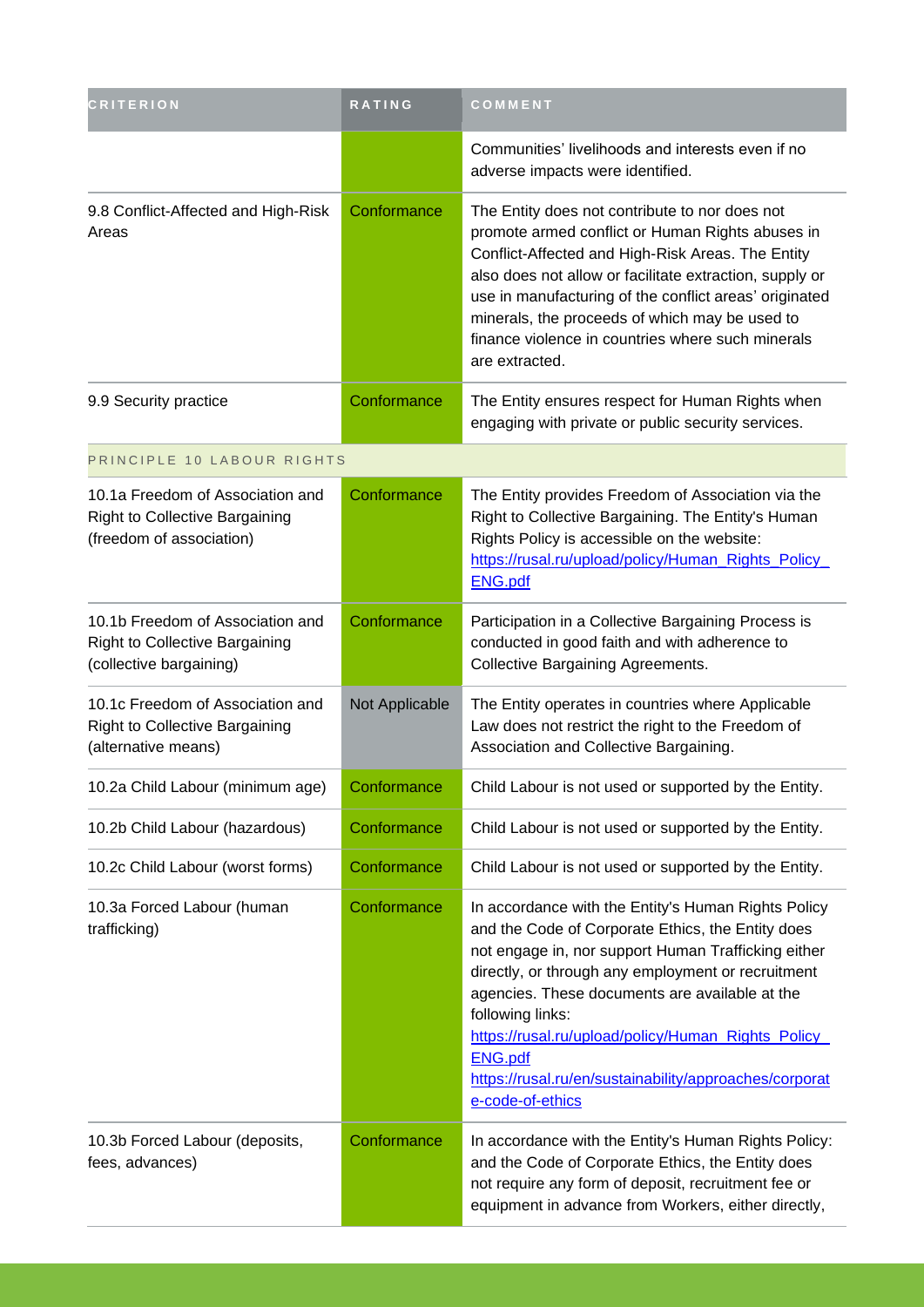| <b>CRITERION</b>                                                                                      | <b>RATING</b>  | COMMENT                                                                                                                                                                                                                                                                                                                                                                                                                                            |
|-------------------------------------------------------------------------------------------------------|----------------|----------------------------------------------------------------------------------------------------------------------------------------------------------------------------------------------------------------------------------------------------------------------------------------------------------------------------------------------------------------------------------------------------------------------------------------------------|
|                                                                                                       |                | Communities' livelihoods and interests even if no<br>adverse impacts were identified.                                                                                                                                                                                                                                                                                                                                                              |
| 9.8 Conflict-Affected and High-Risk<br>Areas                                                          | Conformance    | The Entity does not contribute to nor does not<br>promote armed conflict or Human Rights abuses in<br>Conflict-Affected and High-Risk Areas. The Entity<br>also does not allow or facilitate extraction, supply or<br>use in manufacturing of the conflict areas' originated<br>minerals, the proceeds of which may be used to<br>finance violence in countries where such minerals<br>are extracted.                                              |
| 9.9 Security practice                                                                                 | Conformance    | The Entity ensures respect for Human Rights when<br>engaging with private or public security services.                                                                                                                                                                                                                                                                                                                                             |
| PRINCIPLE 10 LABOUR RIGHTS                                                                            |                |                                                                                                                                                                                                                                                                                                                                                                                                                                                    |
| 10.1a Freedom of Association and<br><b>Right to Collective Bargaining</b><br>(freedom of association) | Conformance    | The Entity provides Freedom of Association via the<br>Right to Collective Bargaining. The Entity's Human<br>Rights Policy is accessible on the website:<br>https://rusal.ru/upload/policy/Human_Rights_Policy_<br><b>ENG.pdf</b>                                                                                                                                                                                                                   |
| 10.1b Freedom of Association and<br><b>Right to Collective Bargaining</b><br>(collective bargaining)  | Conformance    | Participation in a Collective Bargaining Process is<br>conducted in good faith and with adherence to<br><b>Collective Bargaining Agreements.</b>                                                                                                                                                                                                                                                                                                   |
| 10.1c Freedom of Association and<br><b>Right to Collective Bargaining</b><br>(alternative means)      | Not Applicable | The Entity operates in countries where Applicable<br>Law does not restrict the right to the Freedom of<br>Association and Collective Bargaining.                                                                                                                                                                                                                                                                                                   |
| 10.2a Child Labour (minimum age)                                                                      | Conformance    | Child Labour is not used or supported by the Entity.                                                                                                                                                                                                                                                                                                                                                                                               |
| 10.2b Child Labour (hazardous)                                                                        | Conformance    | Child Labour is not used or supported by the Entity.                                                                                                                                                                                                                                                                                                                                                                                               |
| 10.2c Child Labour (worst forms)                                                                      | Conformance    | Child Labour is not used or supported by the Entity.                                                                                                                                                                                                                                                                                                                                                                                               |
| 10.3a Forced Labour (human<br>trafficking)                                                            | Conformance    | In accordance with the Entity's Human Rights Policy<br>and the Code of Corporate Ethics, the Entity does<br>not engage in, nor support Human Trafficking either<br>directly, or through any employment or recruitment<br>agencies. These documents are available at the<br>following links:<br>https://rusal.ru/upload/policy/Human_Rights_Policy_<br><b>ENG.pdf</b><br>https://rusal.ru/en/sustainability/approaches/corporat<br>e-code-of-ethics |
| 10.3b Forced Labour (deposits,<br>fees, advances)                                                     | Conformance    | In accordance with the Entity's Human Rights Policy:<br>and the Code of Corporate Ethics, the Entity does<br>not require any form of deposit, recruitment fee or<br>equipment in advance from Workers, either directly,                                                                                                                                                                                                                            |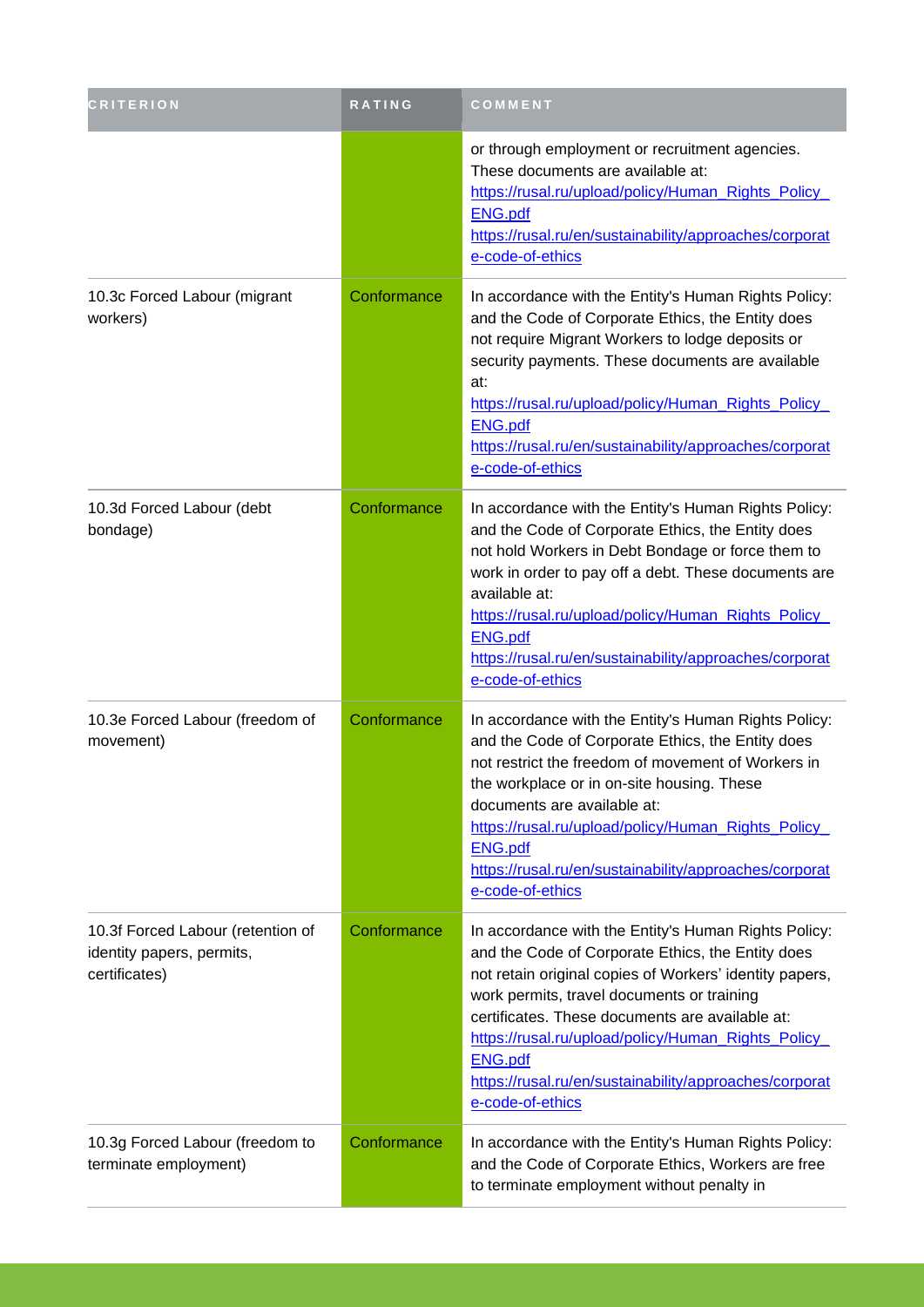| <b>CRITERION</b>                                                                | RATING      | COMMENT                                                                                                                                                                                                                                                                                                                                                                                                                     |
|---------------------------------------------------------------------------------|-------------|-----------------------------------------------------------------------------------------------------------------------------------------------------------------------------------------------------------------------------------------------------------------------------------------------------------------------------------------------------------------------------------------------------------------------------|
|                                                                                 |             | or through employment or recruitment agencies.<br>These documents are available at:<br>https://rusal.ru/upload/policy/Human_Rights_Policy_<br><b>ENG.pdf</b><br>https://rusal.ru/en/sustainability/approaches/corporat<br>e-code-of-ethics                                                                                                                                                                                  |
| 10.3c Forced Labour (migrant<br>workers)                                        | Conformance | In accordance with the Entity's Human Rights Policy:<br>and the Code of Corporate Ethics, the Entity does<br>not require Migrant Workers to lodge deposits or<br>security payments. These documents are available<br>at:<br>https://rusal.ru/upload/policy/Human_Rights_Policy_<br><b>ENG.pdf</b><br>https://rusal.ru/en/sustainability/approaches/corporat<br>e-code-of-ethics                                             |
| 10.3d Forced Labour (debt<br>bondage)                                           | Conformance | In accordance with the Entity's Human Rights Policy:<br>and the Code of Corporate Ethics, the Entity does<br>not hold Workers in Debt Bondage or force them to<br>work in order to pay off a debt. These documents are<br>available at:<br>https://rusal.ru/upload/policy/Human_Rights_Policy_<br><b>ENG.pdf</b><br>https://rusal.ru/en/sustainability/approaches/corporat<br>e-code-of-ethics                              |
| 10.3e Forced Labour (freedom of<br>movement)                                    | Conformance | In accordance with the Entity's Human Rights Policy:<br>and the Code of Corporate Ethics, the Entity does<br>not restrict the freedom of movement of Workers in<br>the workplace or in on-site housing. These<br>documents are available at:<br>https://rusal.ru/upload/policy/Human_Rights_Policy_<br><b>ENG.pdf</b><br>https://rusal.ru/en/sustainability/approaches/corporat<br>e-code-of-ethics                         |
| 10.3f Forced Labour (retention of<br>identity papers, permits,<br>certificates) | Conformance | In accordance with the Entity's Human Rights Policy:<br>and the Code of Corporate Ethics, the Entity does<br>not retain original copies of Workers' identity papers,<br>work permits, travel documents or training<br>certificates. These documents are available at:<br>https://rusal.ru/upload/policy/Human Rights Policy<br><b>ENG.pdf</b><br>https://rusal.ru/en/sustainability/approaches/corporat<br>e-code-of-ethics |
| 10.3g Forced Labour (freedom to<br>terminate employment)                        | Conformance | In accordance with the Entity's Human Rights Policy:<br>and the Code of Corporate Ethics, Workers are free<br>to terminate employment without penalty in                                                                                                                                                                                                                                                                    |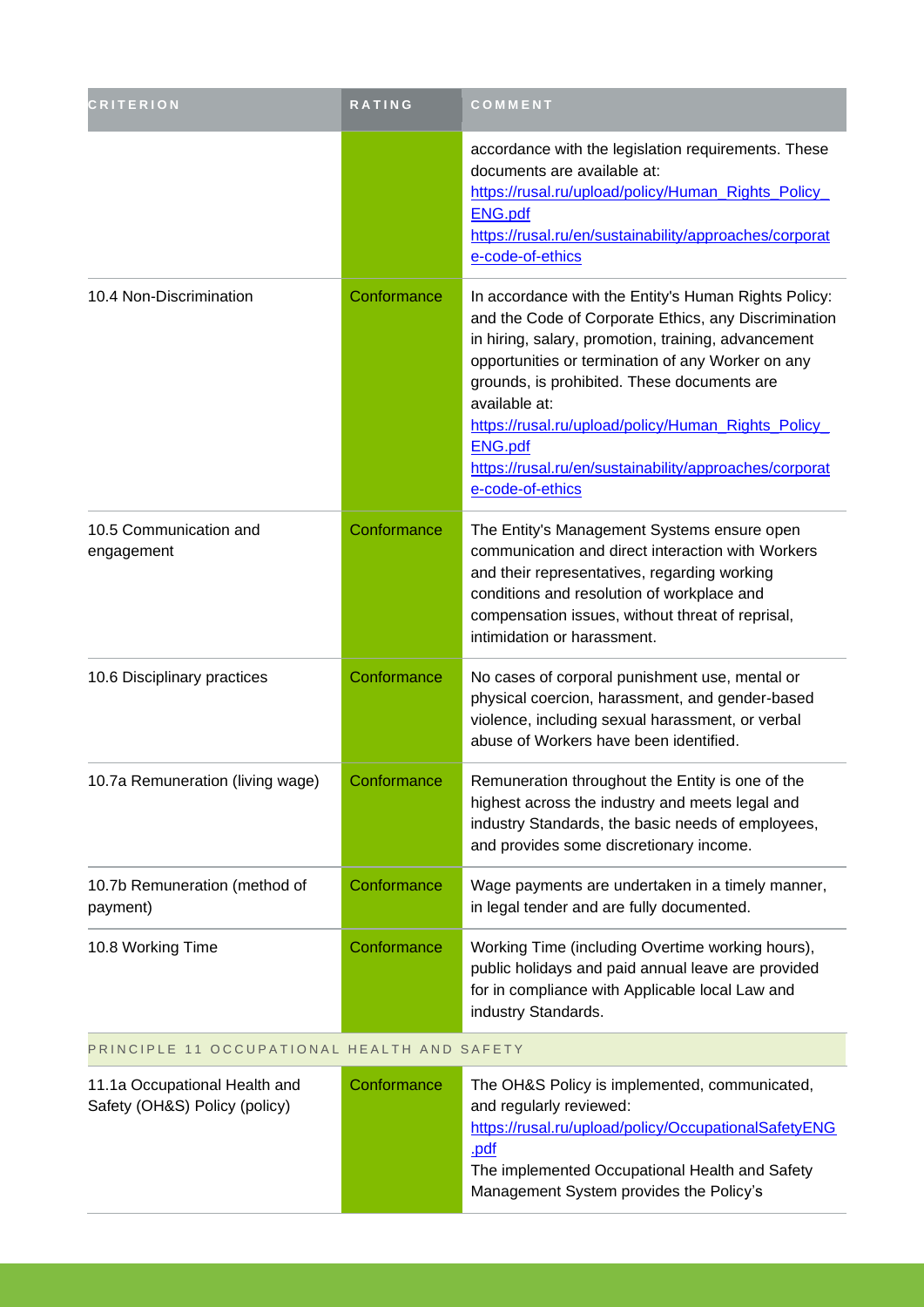| <b>CRITERION</b>                          | RATING      | COMMENT                                                                                                                                                                                                                                                                                                                                                                                                                                         |
|-------------------------------------------|-------------|-------------------------------------------------------------------------------------------------------------------------------------------------------------------------------------------------------------------------------------------------------------------------------------------------------------------------------------------------------------------------------------------------------------------------------------------------|
|                                           |             | accordance with the legislation requirements. These<br>documents are available at:<br>https://rusal.ru/upload/policy/Human_Rights_Policy_<br><b>ENG.pdf</b><br>https://rusal.ru/en/sustainability/approaches/corporat<br>e-code-of-ethics                                                                                                                                                                                                       |
| 10.4 Non-Discrimination                   | Conformance | In accordance with the Entity's Human Rights Policy:<br>and the Code of Corporate Ethics, any Discrimination<br>in hiring, salary, promotion, training, advancement<br>opportunities or termination of any Worker on any<br>grounds, is prohibited. These documents are<br>available at:<br>https://rusal.ru/upload/policy/Human_Rights_Policy_<br><b>ENG.pdf</b><br>https://rusal.ru/en/sustainability/approaches/corporat<br>e-code-of-ethics |
| 10.5 Communication and<br>engagement      | Conformance | The Entity's Management Systems ensure open<br>communication and direct interaction with Workers<br>and their representatives, regarding working<br>conditions and resolution of workplace and<br>compensation issues, without threat of reprisal,<br>intimidation or harassment.                                                                                                                                                               |
| 10.6 Disciplinary practices               | Conformance | No cases of corporal punishment use, mental or<br>physical coercion, harassment, and gender-based<br>violence, including sexual harassment, or verbal<br>abuse of Workers have been identified.                                                                                                                                                                                                                                                 |
| 10.7a Remuneration (living wage)          | Conformance | Remuneration throughout the Entity is one of the<br>highest across the industry and meets legal and<br>industry Standards, the basic needs of employees,<br>and provides some discretionary income.                                                                                                                                                                                                                                             |
| 10.7b Remuneration (method of<br>payment) | Conformance | Wage payments are undertaken in a timely manner,<br>in legal tender and are fully documented.                                                                                                                                                                                                                                                                                                                                                   |
| 10.8 Working Time                         | Conformance | Working Time (including Overtime working hours),<br>public holidays and paid annual leave are provided<br>for in compliance with Applicable local Law and<br>industry Standards.                                                                                                                                                                                                                                                                |

## PRINCIPLE 11 OCCUPATIONAL HEALTH AND SAFETY

| 11.1a Occupational Health and<br>Safety (OH&S) Policy (policy) | Conformance | The OH&S Policy is implemented, communicated,<br>and regularly reviewed:<br>https://rusal.ru/upload/policy/OccupationalSafetyENG<br>.pdf<br>The implemented Occupational Health and Safety<br>Management System provides the Policy's |
|----------------------------------------------------------------|-------------|---------------------------------------------------------------------------------------------------------------------------------------------------------------------------------------------------------------------------------------|
|                                                                |             |                                                                                                                                                                                                                                       |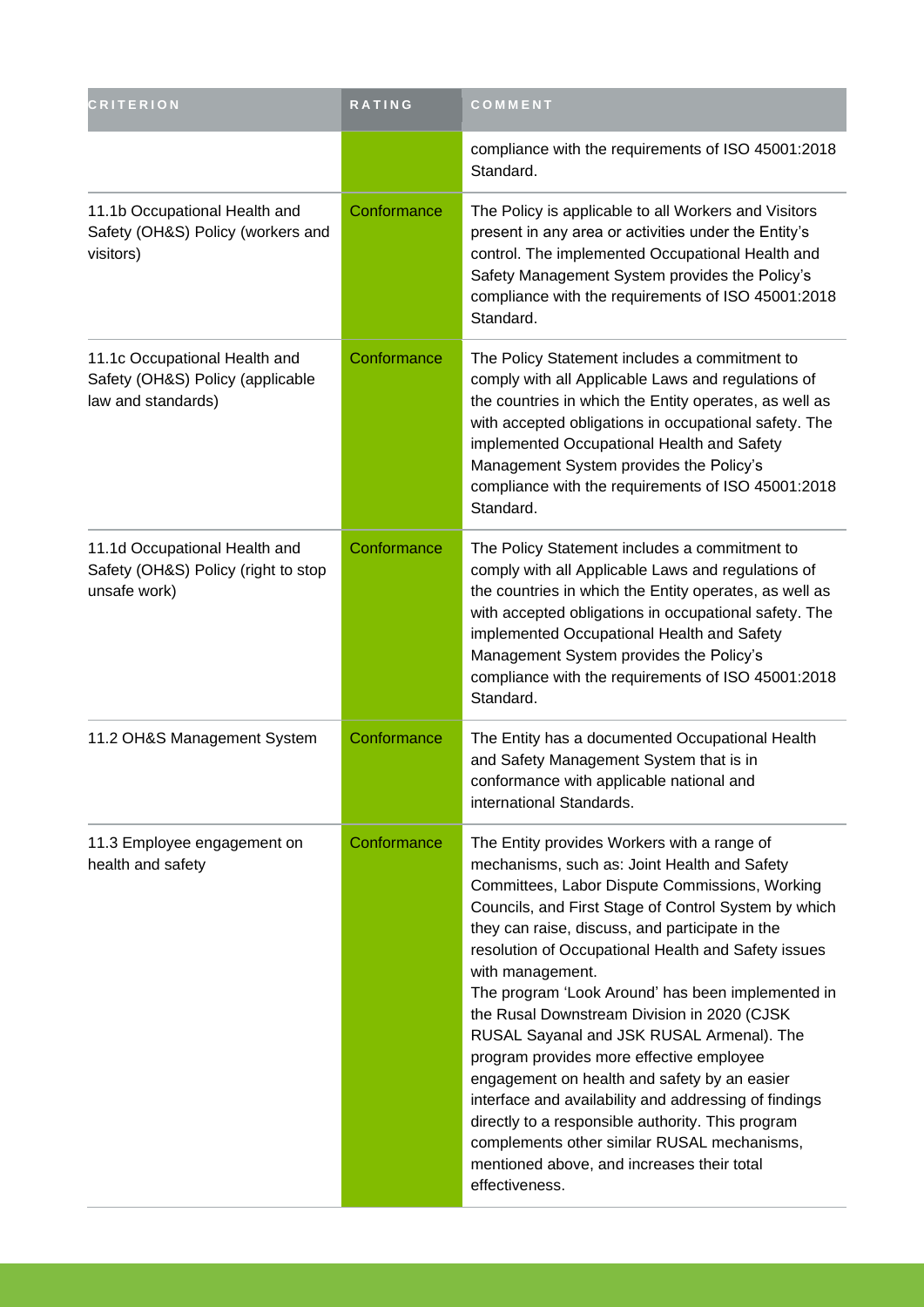| <b>CRITERION</b>                                                                        | RATING      | COMMENT                                                                                                                                                                                                                                                                                                                                                                                                                                                                                                                                                                                                                                                                                                                                                                                                       |
|-----------------------------------------------------------------------------------------|-------------|---------------------------------------------------------------------------------------------------------------------------------------------------------------------------------------------------------------------------------------------------------------------------------------------------------------------------------------------------------------------------------------------------------------------------------------------------------------------------------------------------------------------------------------------------------------------------------------------------------------------------------------------------------------------------------------------------------------------------------------------------------------------------------------------------------------|
|                                                                                         |             | compliance with the requirements of ISO 45001:2018<br>Standard.                                                                                                                                                                                                                                                                                                                                                                                                                                                                                                                                                                                                                                                                                                                                               |
| 11.1b Occupational Health and<br>Safety (OH&S) Policy (workers and<br>visitors)         | Conformance | The Policy is applicable to all Workers and Visitors<br>present in any area or activities under the Entity's<br>control. The implemented Occupational Health and<br>Safety Management System provides the Policy's<br>compliance with the requirements of ISO 45001:2018<br>Standard.                                                                                                                                                                                                                                                                                                                                                                                                                                                                                                                         |
| 11.1c Occupational Health and<br>Safety (OH&S) Policy (applicable<br>law and standards) | Conformance | The Policy Statement includes a commitment to<br>comply with all Applicable Laws and regulations of<br>the countries in which the Entity operates, as well as<br>with accepted obligations in occupational safety. The<br>implemented Occupational Health and Safety<br>Management System provides the Policy's<br>compliance with the requirements of ISO 45001:2018<br>Standard.                                                                                                                                                                                                                                                                                                                                                                                                                            |
| 11.1d Occupational Health and<br>Safety (OH&S) Policy (right to stop<br>unsafe work)    | Conformance | The Policy Statement includes a commitment to<br>comply with all Applicable Laws and regulations of<br>the countries in which the Entity operates, as well as<br>with accepted obligations in occupational safety. The<br>implemented Occupational Health and Safety<br>Management System provides the Policy's<br>compliance with the requirements of ISO 45001:2018<br>Standard.                                                                                                                                                                                                                                                                                                                                                                                                                            |
| 11.2 OH&S Management System                                                             | Conformance | The Entity has a documented Occupational Health<br>and Safety Management System that is in<br>conformance with applicable national and<br>international Standards.                                                                                                                                                                                                                                                                                                                                                                                                                                                                                                                                                                                                                                            |
| 11.3 Employee engagement on<br>health and safety                                        | Conformance | The Entity provides Workers with a range of<br>mechanisms, such as: Joint Health and Safety<br>Committees, Labor Dispute Commissions, Working<br>Councils, and First Stage of Control System by which<br>they can raise, discuss, and participate in the<br>resolution of Occupational Health and Safety issues<br>with management.<br>The program 'Look Around' has been implemented in<br>the Rusal Downstream Division in 2020 (CJSK<br>RUSAL Sayanal and JSK RUSAL Armenal). The<br>program provides more effective employee<br>engagement on health and safety by an easier<br>interface and availability and addressing of findings<br>directly to a responsible authority. This program<br>complements other similar RUSAL mechanisms,<br>mentioned above, and increases their total<br>effectiveness. |